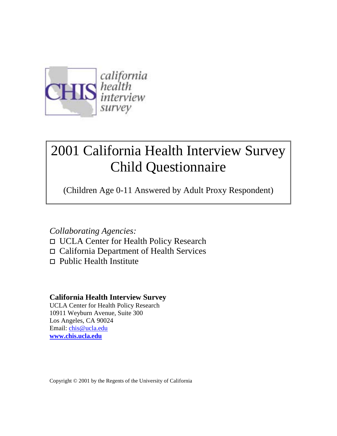

# 2001 California Health Interview Survey Child Questionnaire

(Children Age 0-11 Answered by Adult Proxy Respondent)

## *Collaborating Agencies:*

- □ UCLA Center for Health Policy Research
- □ California Department of Health Services
- $\Box$  Public Health Institute

## **California Health Interview Survey**

UCLA Center for Health Policy Research 10911 Weyburn Avenue, Suite 300 Los Angeles, CA 90024 Email: chis@ucla.edu **www.chis.ucla.edu**

Copyright © 2001 by the Regents of the University of California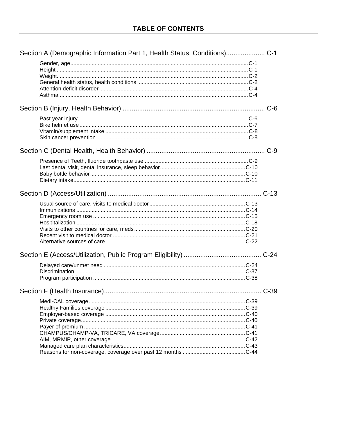| $C-9$ |
|-------|
|       |
|       |
|       |
|       |
|       |
|       |
|       |
|       |
|       |
|       |
|       |
|       |
|       |
|       |
|       |
|       |
|       |
|       |
|       |
|       |
|       |
|       |
|       |
|       |
|       |
|       |
|       |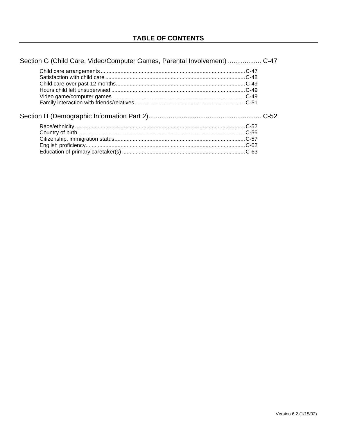| Section G (Child Care, Video/Computer Games, Parental Involvement)  C-47 |  |
|--------------------------------------------------------------------------|--|
|                                                                          |  |
|                                                                          |  |
|                                                                          |  |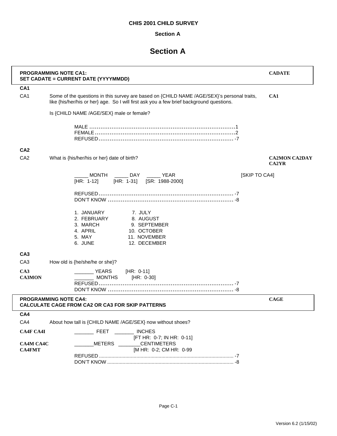## **Section A**

## **Section A**

| <b>PROGRAMMING NOTE CA1:</b><br>SET CADATE = CURRENT DATE (YYYYMMDD) | <b>CADATE</b>                                                                                                                                                                          |                                      |
|----------------------------------------------------------------------|----------------------------------------------------------------------------------------------------------------------------------------------------------------------------------------|--------------------------------------|
| CA <sub>1</sub>                                                      |                                                                                                                                                                                        |                                      |
| CA <sub>1</sub>                                                      | Some of the questions in this survey are based on {CHILD NAME /AGE/SEX}'s personal traits,<br>like {his/her/his or her} age. So I will first ask you a few brief background questions. | CA1                                  |
|                                                                      | Is {CHILD NAME /AGE/SEX} male or female?                                                                                                                                               |                                      |
|                                                                      |                                                                                                                                                                                        |                                      |
| CA <sub>2</sub>                                                      |                                                                                                                                                                                        |                                      |
| CA <sub>2</sub>                                                      | What is {his/her/his or her} date of birth?                                                                                                                                            | <b>CA2MON CA2DAY</b><br><b>CA2YR</b> |
|                                                                      | MONTH _______ DAY _______ YEAR<br>[SKIP TO CA4]<br>$[HR: 1-12]$<br>[HR: 1-31] [SR: 1988-2000]                                                                                          |                                      |
|                                                                      |                                                                                                                                                                                        |                                      |
|                                                                      | 1. JANUARY<br>7. JULY<br>2. FEBRUARY<br>8. AUGUST<br>3. MARCH<br>9. SEPTEMBER<br>4. APRIL<br>10. OCTOBER<br>11. NOVEMBER<br>5. MAY<br>6. JUNE<br>12. DECEMBER                          |                                      |
| CA <sub>3</sub>                                                      |                                                                                                                                                                                        |                                      |
| CA <sub>3</sub>                                                      | How old is {he/she/he or she}?                                                                                                                                                         |                                      |
| CA3<br><b>CA3MON</b>                                                 | YEARS<br>$[HR: 0-11]$<br><b>MONTHS</b><br>[HR: 0-30]                                                                                                                                   |                                      |
|                                                                      | <b>PROGRAMMING NOTE CA4:</b><br><b>CALCULATE CAGE FROM CA2 OR CA3 FOR SKIP PATTERNS</b>                                                                                                | <b>CAGE</b>                          |
| CA4                                                                  |                                                                                                                                                                                        |                                      |
| CA4                                                                  | About how tall is {CHILD NAME /AGE/SEX} now without shoes?                                                                                                                             |                                      |
| <b>CA4F CA4I</b>                                                     | <b>FEET INCHES</b><br>[FT HR: 0-7; IN HR: 0-11]                                                                                                                                        |                                      |
| <b>CA4M CA4C</b>                                                     | METERS CENTIMETERS                                                                                                                                                                     |                                      |
| <b>CA4FMT</b>                                                        | [M HR: 0-2; CM HR: 0-99                                                                                                                                                                |                                      |
|                                                                      |                                                                                                                                                                                        |                                      |
|                                                                      |                                                                                                                                                                                        |                                      |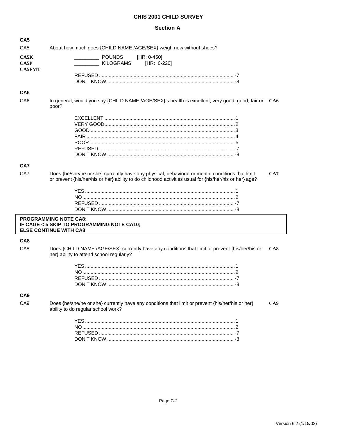## **Section A**

| CA <sub>5</sub>                           |                                                                                                                                                                                                           |     |
|-------------------------------------------|-----------------------------------------------------------------------------------------------------------------------------------------------------------------------------------------------------------|-----|
| CA <sub>5</sub>                           | About how much does {CHILD NAME /AGE/SEX} weigh now without shoes?                                                                                                                                        |     |
| CASK<br>C <sub>A5P</sub><br><b>CA5FMT</b> | <b>POUNDS</b><br>$[HR: 0-450]$<br><b>KILOGRAMS</b><br>[HR: 0-220]                                                                                                                                         |     |
|                                           |                                                                                                                                                                                                           |     |
| CA <sub>6</sub>                           |                                                                                                                                                                                                           |     |
| CA <sub>6</sub>                           | In general, would you say {CHILD NAME /AGE/SEX}'s health is excellent, very good, good, fair or CA6<br>poor?                                                                                              |     |
|                                           |                                                                                                                                                                                                           |     |
|                                           |                                                                                                                                                                                                           |     |
|                                           |                                                                                                                                                                                                           |     |
|                                           |                                                                                                                                                                                                           |     |
|                                           |                                                                                                                                                                                                           |     |
|                                           |                                                                                                                                                                                                           |     |
| CA7                                       |                                                                                                                                                                                                           |     |
| CA7                                       | Does {he/she/he or she} currently have any physical, behavioral or mental conditions that limit<br>or prevent {his/her/his or her} ability to do childhood activities usual for {his/her/his or her} age? | CA7 |
|                                           |                                                                                                                                                                                                           |     |
|                                           |                                                                                                                                                                                                           |     |
|                                           |                                                                                                                                                                                                           |     |
|                                           |                                                                                                                                                                                                           |     |
|                                           | <b>PROGRAMMING NOTE CA8:</b><br>IF CAGE < 5 SKIP TO PROGRAMMING NOTE CA10;<br><b>ELSE CONTINUE WITH CA8</b>                                                                                               |     |
| CA <sub>8</sub>                           |                                                                                                                                                                                                           |     |
| CA8                                       | Does {CHILD NAME /AGE/SEX} currently have any conditions that limit or prevent {his/her/his or<br>her} ability to attend school regularly?                                                                | CA8 |
|                                           |                                                                                                                                                                                                           |     |
|                                           |                                                                                                                                                                                                           |     |
|                                           |                                                                                                                                                                                                           |     |
|                                           | DON'T KNOW                                                                                                                                                                                                |     |
| CA <sub>9</sub>                           |                                                                                                                                                                                                           |     |
| CA <sub>9</sub>                           | Does {he/she/he or she} currently have any conditions that limit or prevent {his/her/his or her}<br>ability to do regular school work?                                                                    | CA9 |
|                                           |                                                                                                                                                                                                           |     |
|                                           |                                                                                                                                                                                                           |     |
|                                           |                                                                                                                                                                                                           |     |
|                                           |                                                                                                                                                                                                           |     |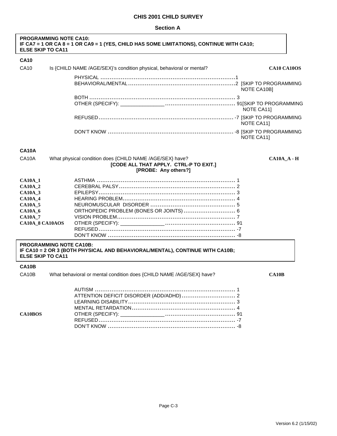#### **Section A**

| <b>PROGRAMMING NOTE CA10:</b><br><b>ELSE SKIP TO CA11</b>                                                                                | IF CA7 = 1 OR CA 8 = 1 OR CA9 = 1 (YES, CHILD HAS SOME LIMITATIONS), CONTINUE WITH CA10;                                   |              |
|------------------------------------------------------------------------------------------------------------------------------------------|----------------------------------------------------------------------------------------------------------------------------|--------------|
| <b>CA10</b>                                                                                                                              |                                                                                                                            |              |
| <b>CA10</b>                                                                                                                              | Is {CHILD NAME /AGE/SEX}'s condition physical, behavioral or mental?                                                       | CA10 CA10OS  |
|                                                                                                                                          |                                                                                                                            | NOTE CA10B]  |
|                                                                                                                                          |                                                                                                                            | NOTE CA11]   |
|                                                                                                                                          |                                                                                                                            | NOTE CA11]   |
|                                                                                                                                          |                                                                                                                            | NOTE CA11]   |
| <b>CA10A</b>                                                                                                                             |                                                                                                                            |              |
| CA10A                                                                                                                                    | What physical condition does {CHILD NAME /AGE/SEX} have?<br>[CODE ALL THAT APPLY. CTRL-P TO EXIT.]<br>[PROBE: Any others?] | $CA10A$ $ H$ |
| <b>CA10A 1</b><br><b>CA10A_2</b><br>$CA10A_3$<br><b>CA10A_4</b><br><b>CA10A_5</b><br><b>CA10A_6</b><br><b>CA10A_7</b><br>CA10A_8 CA10AOS | ORTHOPEDIC PROBLEM (BONES OR JOINTS) 6                                                                                     |              |
| <b>PROGRAMMING NOTE CA10B:</b><br><b>ELSE SKIP TO CA11</b>                                                                               | IF CA10 = 2 OR 3 (BOTH PHYSICAL AND BEHAVIORAL/MENTAL), CONTINUE WITH CA10B;                                               |              |
| <b>CA10B</b><br>CA10B                                                                                                                    | What behavioral or mental condition does {CHILD NAME /AGE/SEX} have?                                                       | <b>CA10B</b> |
| <b>CA10BOS</b>                                                                                                                           | ATTENTION DEFICIT DISORDER (ADD/ADHD)  2                                                                                   |              |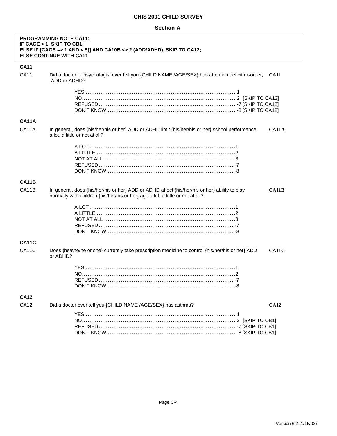## **Section A**

|              | <b>PROGRAMMING NOTE CA11:</b><br>IF CAGE < 1, SKIP TO CB1;<br>ELSE IF [CAGE => 1 AND < 5)] AND CA10B <> 2 (ADD/ADHD), SKIP TO CA12;<br><b>ELSE CONTINUE WITH CA11</b>                           |
|--------------|-------------------------------------------------------------------------------------------------------------------------------------------------------------------------------------------------|
| <b>CA11</b>  |                                                                                                                                                                                                 |
| <b>CA11</b>  | Did a doctor or psychologist ever tell you {CHILD NAME /AGE/SEX} has attention deficit disorder, CA11<br>ADD or ADHD?                                                                           |
|              |                                                                                                                                                                                                 |
| <b>CA11A</b> |                                                                                                                                                                                                 |
| CA11A        | In general, does {his/her/his or her} ADD or ADHD limit {his/her/his or her} school performance<br>CA11A<br>a lot, a little or not at all?                                                      |
|              |                                                                                                                                                                                                 |
| <b>CA11B</b> |                                                                                                                                                                                                 |
| CA11B        | In general, does {his/her/his or her} ADD or ADHD affect {his/her/his or her} ability to play<br><b>CA11B</b><br>normally with children {his/her/his or her} age a lot, a little or not at all? |
|              |                                                                                                                                                                                                 |
| <b>CA11C</b> |                                                                                                                                                                                                 |
| CA11C        | Does {he/she/he or she} currently take prescription medicine to control {his/her/his or her} ADD<br>CA11C<br>or ADHD?                                                                           |
|              |                                                                                                                                                                                                 |
| <b>CA12</b>  |                                                                                                                                                                                                 |
| <b>CA12</b>  | Did a doctor ever tell you {CHILD NAME /AGE/SEX} has asthma?<br>CA12                                                                                                                            |
|              |                                                                                                                                                                                                 |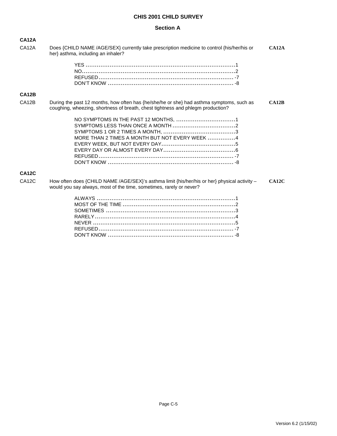### **Section A**

| <b>CA12A</b>       |                                                                                                                                                                             |       |
|--------------------|-----------------------------------------------------------------------------------------------------------------------------------------------------------------------------|-------|
| CA <sub>12</sub> A | Does {CHILD NAME /AGE/SEX} currently take prescription medicine to control {his/her/his or<br>her} asthma, including an inhaler?                                            | CA12A |
|                    |                                                                                                                                                                             |       |
| <b>CA12B</b>       |                                                                                                                                                                             |       |
| CA <sub>12</sub> B | During the past 12 months, how often has {he/she/he or she} had asthma symptoms, such as<br>coughing, wheezing, shortness of breath, chest tightness and phlegm production? | CA12B |
|                    | MORE THAN 2 TIMES A MONTH BUT NOT EVERY WEEK 4                                                                                                                              |       |
| <b>CA12C</b>       |                                                                                                                                                                             |       |
| CA <sub>12</sub> C | How often does {CHILD NAME /AGE/SEX}'s asthma limit {his/her/his or her} physical activity –<br>would you say always, most of the time, sometimes, rarely or never?         | CA12C |
|                    |                                                                                                                                                                             |       |

DON'T KNOW .................................................................... -8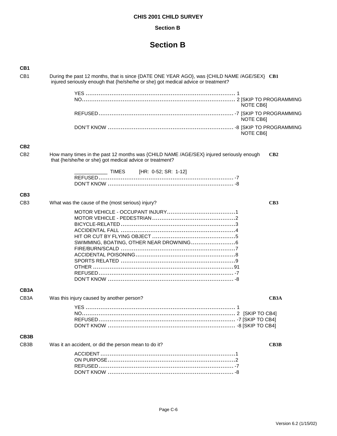#### **Section B**

## **Section B**

| CB <sub>1</sub>   |                                                                                                                                                                                  |                   |
|-------------------|----------------------------------------------------------------------------------------------------------------------------------------------------------------------------------|-------------------|
| CB <sub>1</sub>   | During the past 12 months, that is since {DATE ONE YEAR AGO}, was {CHILD NAME /AGE/SEX} CB1<br>injured seriously enough that {he/she/he or she} got medical advice or treatment? |                   |
|                   |                                                                                                                                                                                  |                   |
|                   | <b>NOTE CB61</b>                                                                                                                                                                 |                   |
|                   | NOTE CB6]                                                                                                                                                                        |                   |
|                   | <b>NOTE CB61</b>                                                                                                                                                                 |                   |
| CB <sub>2</sub>   |                                                                                                                                                                                  |                   |
| C <sub>B2</sub>   | How many times in the past 12 months was {CHILD NAME /AGE/SEX} injured seriously enough<br>that {he/she/he or she} got medical advice or treatment?                              | CB2               |
|                   | ___________ TIMES [HR: 0-52; SR: 1-12]                                                                                                                                           |                   |
|                   |                                                                                                                                                                                  |                   |
| CB <sub>3</sub>   |                                                                                                                                                                                  |                   |
| CB <sub>3</sub>   | What was the cause of the (most serious) injury?                                                                                                                                 | CB3               |
|                   | SWIMMING, BOATING, OTHER NEAR DROWNING 6                                                                                                                                         |                   |
| CB <sub>3</sub> A |                                                                                                                                                                                  |                   |
| CB <sub>3</sub> A | Was this injury caused by another person?                                                                                                                                        | CB3A              |
|                   |                                                                                                                                                                                  |                   |
| CB <sub>3</sub> B |                                                                                                                                                                                  |                   |
| CB <sub>3</sub> B | Was it an accident, or did the person mean to do it?                                                                                                                             | CB <sub>3</sub> B |
|                   |                                                                                                                                                                                  |                   |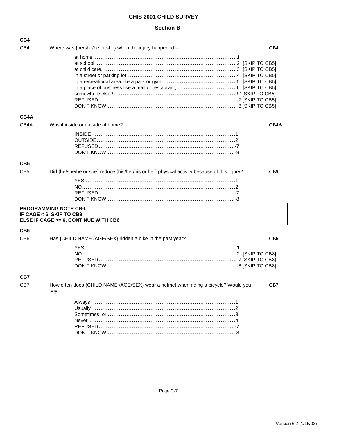#### **Section B**

| CB4               |                                                                                                     |
|-------------------|-----------------------------------------------------------------------------------------------------|
| CB4               | Where was {he/she/he or she} when the injury happened --<br>CB4                                     |
| CB4A              | in a place of business like a mall or restaurant, or  6 [SKIP TO CB5]                               |
| CB <sub>4</sub> A | Was it inside or outside at home?<br>CB4A                                                           |
| CB <sub>5</sub>   |                                                                                                     |
| CB <sub>5</sub>   | Did {he/she/he or she} reduce {his/her/his or her} physical activity because of this injury?<br>CB5 |
|                   | <b>PROGRAMMING NOTE CB6:</b>                                                                        |
|                   | IF CAGE $<$ 6, SKIP TO CB9;<br>ELSE IF CAGE >= 6, CONTINUE WITH CB6                                 |
| CB <sub>6</sub>   |                                                                                                     |
| C <sub>B6</sub>   | Has {CHILD NAME /AGE/SEX} ridden a bike in the past year?<br>CB6                                    |
|                   |                                                                                                     |
| CB7               |                                                                                                     |
| CB7               | How often does {CHILD NAME /AGE/SEX} wear a helmet when riding a bicycle? Would you<br>CB7<br>say   |
|                   |                                                                                                     |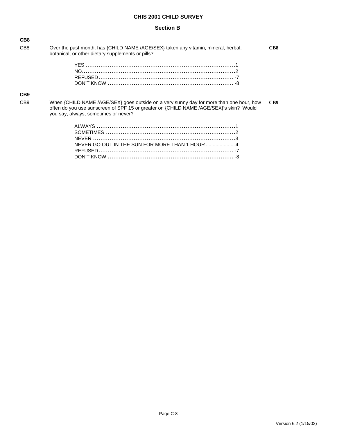## **Section B**

| CB <sub>8</sub>  |                                                                                                                                                                                                                           |     |
|------------------|---------------------------------------------------------------------------------------------------------------------------------------------------------------------------------------------------------------------------|-----|
| CB <sub>8</sub>  | Over the past month, has {CHILD NAME /AGE/SEX} taken any vitamin, mineral, herbal,<br>botanical, or other dietary supplements or pills?                                                                                   | CB8 |
|                  |                                                                                                                                                                                                                           |     |
|                  |                                                                                                                                                                                                                           |     |
|                  |                                                                                                                                                                                                                           |     |
|                  |                                                                                                                                                                                                                           |     |
| CB <sub>9</sub>  |                                                                                                                                                                                                                           |     |
| C <sub>B</sub> 9 | When {CHILD NAME /AGE/SEX} goes outside on a very sunny day for more than one hour, how<br>often do you use sunscreen of SPF 15 or greater on {CHILD NAME /AGE/SEX}'s skin? Would<br>you say, always, sometimes or never? | CB9 |
|                  |                                                                                                                                                                                                                           |     |
|                  |                                                                                                                                                                                                                           |     |
|                  |                                                                                                                                                                                                                           |     |
|                  |                                                                                                                                                                                                                           |     |
|                  |                                                                                                                                                                                                                           |     |
|                  |                                                                                                                                                                                                                           |     |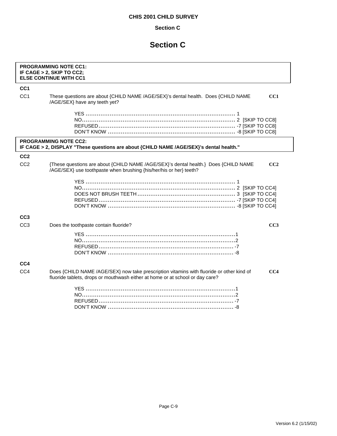## **Section C**

|                 | <b>PROGRAMMING NOTE CC1:</b><br>IF CAGE > 2, SKIP TO CC2;<br><b>ELSE CONTINUE WITH CC1</b>                                                                                                   |
|-----------------|----------------------------------------------------------------------------------------------------------------------------------------------------------------------------------------------|
| CC <sub>1</sub> |                                                                                                                                                                                              |
| CC <sub>1</sub> | These questions are about {CHILD NAME /AGE/SEX}'s dental health. Does {CHILD NAME<br>CC <sub>1</sub><br>/AGE/SEX} have any teeth yet?                                                        |
|                 |                                                                                                                                                                                              |
|                 | <b>PROGRAMMING NOTE CC2:</b><br>IF CAGE > 2, DISPLAY "These questions are about {CHILD NAME /AGE/SEX}'s dental health."                                                                      |
| CC <sub>2</sub> |                                                                                                                                                                                              |
| CC <sub>2</sub> | {These questions are about {CHILD NAME /AGE/SEX}'s dental health.} Does {CHILD NAME<br>CC2<br>/AGE/SEX} use toothpaste when brushing {his/her/his or her} teeth?                             |
|                 |                                                                                                                                                                                              |
| CC <sub>3</sub> |                                                                                                                                                                                              |
| CC <sub>3</sub> | Does the toothpaste contain fluoride?<br>CC3                                                                                                                                                 |
|                 |                                                                                                                                                                                              |
| CC4             |                                                                                                                                                                                              |
| CC4             | Does {CHILD NAME /AGE/SEX} now take prescription vitamins with fluoride or other kind of<br>CC <sub>4</sub><br>fluoride tablets, drops or mouthwash either at home or at school or day care? |
|                 |                                                                                                                                                                                              |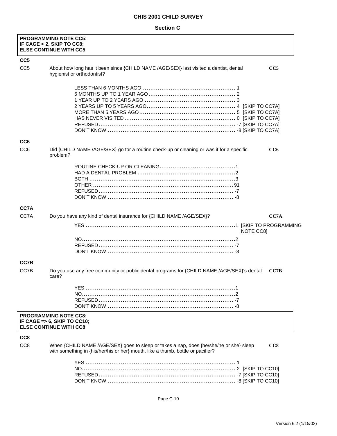|                 | <b>PROGRAMMING NOTE CC5:</b><br>IF CAGE < 2, SKIP TO CC8;<br><b>ELSE CONTINUE WITH CC5</b>                                                                                |      |
|-----------------|---------------------------------------------------------------------------------------------------------------------------------------------------------------------------|------|
| CC <sub>5</sub> |                                                                                                                                                                           |      |
| CC <sub>5</sub> | About how long has it been since {CHILD NAME /AGE/SEX} last visited a dentist, dental<br>hygienist or orthodontist?                                                       | CC5  |
|                 |                                                                                                                                                                           |      |
| CC <sub>6</sub> |                                                                                                                                                                           |      |
| CC <sub>6</sub> | Did {CHILD NAME /AGE/SEX} go for a routine check-up or cleaning or was it for a specific<br>problem?                                                                      | CC6  |
|                 |                                                                                                                                                                           |      |
| CC7A            |                                                                                                                                                                           |      |
| CC7A            | Do you have any kind of dental insurance for {CHILD NAME /AGE/SEX}?                                                                                                       | CC7A |
|                 | NOTE CC8]                                                                                                                                                                 |      |
|                 |                                                                                                                                                                           |      |
| CC7B            |                                                                                                                                                                           |      |
| CC7B            | Do you use any free community or public dental programs for {CHILD NAME /AGE/SEX}'s dental<br>care?                                                                       | CC7B |
|                 |                                                                                                                                                                           |      |
|                 | <b>PROGRAMMING NOTE CC8:</b><br>IF CAGE = $> 6$ , SKIP TO CC10;<br><b>ELSE CONTINUE WITH CC8</b>                                                                          |      |
| CC <sub>8</sub> |                                                                                                                                                                           |      |
| CC <sub>8</sub> | When {CHILD NAME /AGE/SEX} goes to sleep or takes a nap, does {he/she/he or she} sleep<br>with something in {his/her/his or her} mouth, like a thumb, bottle or pacifier? | CC8  |
|                 |                                                                                                                                                                           |      |
|                 | Page C-10                                                                                                                                                                 |      |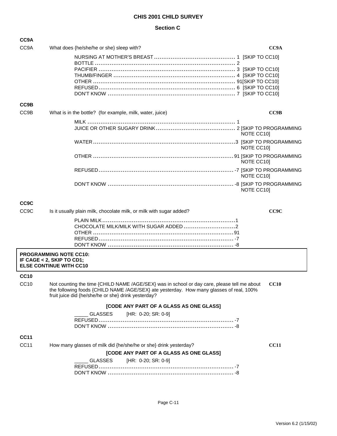| CC9A              |                                                                                                                                                |             |
|-------------------|------------------------------------------------------------------------------------------------------------------------------------------------|-------------|
| CC <sub>9</sub> A | What does {he/she/he or she} sleep with?                                                                                                       | CC9A        |
|                   |                                                                                                                                                |             |
|                   |                                                                                                                                                |             |
|                   |                                                                                                                                                |             |
|                   |                                                                                                                                                |             |
|                   |                                                                                                                                                |             |
|                   |                                                                                                                                                |             |
| CC9B              |                                                                                                                                                |             |
| CC9B              | What is in the bottle? (for example, milk, water, juice)                                                                                       | CC9B        |
|                   |                                                                                                                                                |             |
|                   |                                                                                                                                                | NOTE CC10]  |
|                   |                                                                                                                                                | NOTE CC10]  |
|                   |                                                                                                                                                | NOTE CC10]  |
|                   |                                                                                                                                                | NOTE CC10]  |
|                   |                                                                                                                                                | NOTE CC10]  |
| <b>CC9C</b>       |                                                                                                                                                |             |
| CC <sub>9</sub> C | Is it usually plain milk, chocolate milk, or milk with sugar added?                                                                            | CC9C        |
|                   |                                                                                                                                                |             |
|                   |                                                                                                                                                |             |
|                   |                                                                                                                                                |             |
|                   |                                                                                                                                                |             |
|                   | <b>PROGRAMMING NOTE CC10:</b><br>IF CAGE < 2, SKIP TO CD1;<br><b>ELSE CONTINUE WITH CC10</b>                                                   |             |
| <b>CC10</b>       |                                                                                                                                                |             |
| CC <sub>10</sub>  | Not counting the time {CHILD NAME /AGE/SEX} was in school or day care, please tell me about CC10                                               |             |
|                   | the following foods {CHILD NAME /AGE/SEX} ate yesterday. How many glasses of real, 100%<br>fruit juice did {he/she/he or she} drink yesterday? |             |
|                   | [CODE ANY PART OF A GLASS AS ONE GLASS]                                                                                                        |             |
|                   | <b>GLASSES</b><br>[HR: 0-20; SR: 0-9]                                                                                                          |             |
|                   |                                                                                                                                                |             |
|                   |                                                                                                                                                |             |
| <b>CC11</b>       |                                                                                                                                                |             |
| CC11              | How many glasses of milk did {he/she/he or she} drink yesterday?                                                                               | <b>CC11</b> |
|                   | [CODE ANY PART OF A GLASS AS ONE GLASS]                                                                                                        |             |
|                   | GLASSES<br>[HR: 0-20; SR: 0-9]                                                                                                                 |             |
|                   |                                                                                                                                                |             |
|                   |                                                                                                                                                |             |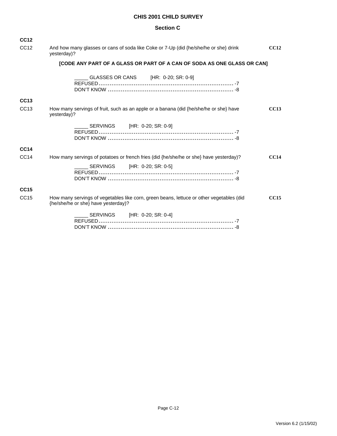| <b>CC12</b>      |                                                                                                                                 |             |
|------------------|---------------------------------------------------------------------------------------------------------------------------------|-------------|
| CC <sub>12</sub> | And how many glasses or cans of soda like Coke or 7-Up (did {he/she/he or she} drink<br>yesterday)?                             | <b>CC12</b> |
|                  | [CODE ANY PART OF A GLASS OR PART OF A CAN OF SODA AS ONE GLASS OR CAN]                                                         |             |
|                  | GLASSES OR CANS [HR: 0-20; SR: 0-9]                                                                                             |             |
| CC <sub>13</sub> |                                                                                                                                 |             |
| CC <sub>13</sub> | How many servings of fruit, such as an apple or a banana (did {he/she/he or she} have<br>yesterday)?                            | <b>CC13</b> |
|                  | SERVINGS [HR: 0-20; SR: 0-9]                                                                                                    |             |
| <b>CC14</b>      |                                                                                                                                 |             |
| CC14             | How many servings of potatoes or french fries (did {he/she/he or she} have yesterday)?                                          | CC14        |
|                  | SERVINGS [HR: 0-20; SR: 0-5]                                                                                                    |             |
| <b>CC15</b>      |                                                                                                                                 |             |
| CC <sub>15</sub> | How many servings of vegetables like corn, green beans, lettuce or other vegetables (did<br>{he/she/he or she} have yesterday)? | <b>CC15</b> |
|                  | SERVINGS [HR: 0-20; SR: 0-4]                                                                                                    |             |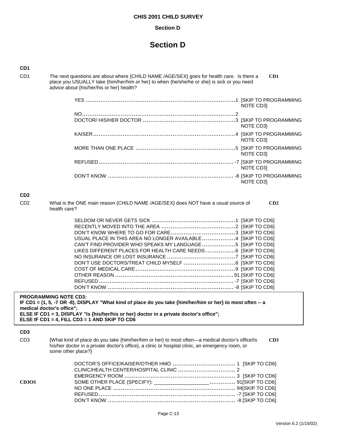#### **Section D**

## **Section D**

#### **CD1**

CD1 The next questions are about where {CHILD NAME /AGE/SEX} goes for health care. Is there a **CD1** place you USUALLY take {him/her/him or her} to when {he/she/he or she} is sick or you need advice about {his/her/his or her} health?

| NOTE CD3] |
|-----------|
|           |
| NOTE CD3] |
| NOTE CD3] |
| NOTE CD3] |
| NOTE CD31 |
| NOTE CD3] |

#### **CD2**

CD2 What is the ONE main reason {CHILD NAME /AGE/SEX} does NOT have a usual source of **CD2** health care?

| USUAL PLACE IN THIS AREA NO LONGER AVAILABLE4 [SKIP TO CD6]  |  |
|--------------------------------------------------------------|--|
| CAN'T FIND PROVIDER WHO SPEAKS MY LANGUAGE 5 [SKIP TO CD6]   |  |
| LIKES DIFFERENT PLACES FOR HEALTH CARE NEEDS 6 [SKIP TO CD6] |  |
|                                                              |  |
| DON'T USE DOCTORS/TREAT CHILD MYSELF 8 [SKIP TO CD6]         |  |
|                                                              |  |
|                                                              |  |
|                                                              |  |
|                                                              |  |

**PROGRAMMING NOTE CD3: IF CD1 = (1, 5, -7 OR -8), DISPLAY "What kind of place do you take {him/her/him or her} to most often -- a medical doctor's office"; ELSE IF CD1 = 3, DISPLAY "Is {his/her/his or her} doctor in a private doctor's office"; ELSE IF CD1 = 4, FILL CD3 = 1 AND SKIP TO CD6** 

| CD <sub>3</sub>                |                                                                                                                                                                                                                           |     |
|--------------------------------|---------------------------------------------------------------------------------------------------------------------------------------------------------------------------------------------------------------------------|-----|
| C <sub>D</sub> 3               | {What kind of place do you take {him/her/him or her} to most often—a medical doctor's office/ls<br>his/her doctor in a private doctor's office}, a clinic or hospital clinic, an emergency room, or<br>some other place?} | CD3 |
|                                |                                                                                                                                                                                                                           |     |
|                                |                                                                                                                                                                                                                           |     |
|                                |                                                                                                                                                                                                                           |     |
| CD <sub>3</sub> O <sub>S</sub> |                                                                                                                                                                                                                           |     |

NO ONE PLACE .................................................................. 94[SKIP TO CD6] REFUSED.......................................................................... -7 [SKIP TO CD6] DON'T KNOW ..................................................................... -8 [SKIP TO CD6]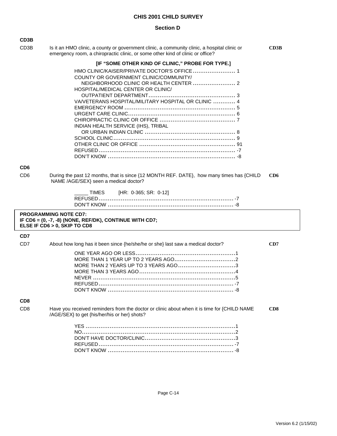#### **Section D**

| CD3B              |                                                                                                                                                                                                                           |                 |
|-------------------|---------------------------------------------------------------------------------------------------------------------------------------------------------------------------------------------------------------------------|-----------------|
| CD <sub>3</sub> B | Is it an HMO clinic, a county or government clinic, a community clinic, a hospital clinic or<br>emergency room, a chiropractic clinic, or some other kind of clinic or office?                                            | CD3B            |
|                   | [IF "SOME OTHER KIND OF CLINIC," PROBE FOR TYPE.]                                                                                                                                                                         |                 |
|                   | HMO CLINIC/KAISER/PRIVATE DOCTOR'S OFFICE 1<br>COUNTY OR GOVERNMENT CLINIC/COMMUNITY/<br>HOSPITAL/MEDICAL CENTER OR CLINIC/<br>VA/VETERANS HOSPITAL/MILITARY HOSPITAL OR CLINIC  4<br>INDIAN HEALTH SERVICE (IHS), TRIBAL |                 |
| CD <sub>6</sub>   |                                                                                                                                                                                                                           |                 |
| CD <sub>6</sub>   | During the past 12 months, that is since {12 MONTH REF. DATE}, how many times has {CHILD<br>NAME /AGE/SEX} seen a medical doctor?                                                                                         | CD <sub>6</sub> |
|                   | [HR: 0-365; SR: 0-12]<br>TIMES                                                                                                                                                                                            |                 |
|                   | <b>PROGRAMMING NOTE CD7:</b><br>IF CD6 = (0, -7, -8) (NONE, REF/DK), CONTINUE WITH CD7;<br>ELSE IF CD6 > 0, SKIP TO CD8                                                                                                   |                 |
| CD7               |                                                                                                                                                                                                                           |                 |
| CD <sub>7</sub>   | About how long has it been since {he/she/he or she} last saw a medical doctor?                                                                                                                                            | CD7             |
|                   | MORE THAN 2 YEARS UP TO 3 YEARS AGO3                                                                                                                                                                                      |                 |

## **CD8**

CD8 Have you received reminders from the doctor or clinic about when it is time for {CHILD NAME **CD8** /AGE/SEX} to get {his/her/his or her} shots?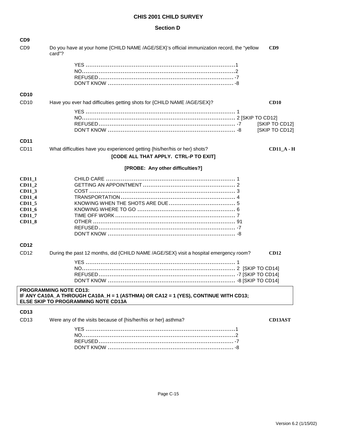## **Section D**

| C <sub>D</sub> <sub>9</sub>                                                                |                                                                                                                                                            |                                  |
|--------------------------------------------------------------------------------------------|------------------------------------------------------------------------------------------------------------------------------------------------------------|----------------------------------|
| C <sub>D</sub> <sub>9</sub>                                                                | Do you have at your home {CHILD NAME /AGE/SEX}'s official immunization record, the "yellow<br>card"?                                                       | CD9                              |
|                                                                                            |                                                                                                                                                            |                                  |
| <b>CD10</b>                                                                                |                                                                                                                                                            |                                  |
| CD <sub>10</sub>                                                                           | Have you ever had difficulties getting shots for {CHILD NAME /AGE/SEX}?                                                                                    | CD10                             |
|                                                                                            |                                                                                                                                                            | [SKIP TO CD12]<br>[SKIP TO CD12] |
| <b>CD11</b>                                                                                |                                                                                                                                                            |                                  |
| CD11                                                                                       | What difficulties have you experienced getting {his/her/his or her} shots?<br>[CODE ALL THAT APPLY. CTRL-P TO EXIT]                                        | $CD11_A - H$                     |
|                                                                                            | [PROBE: Any other difficulties?]                                                                                                                           |                                  |
| <b>CD11_1</b><br>CD11_2<br>CD11_3<br>CD11_4<br>CD11_5<br>CD11_6<br>CD11_7<br><b>CD11_8</b> |                                                                                                                                                            |                                  |
| CD <sub>12</sub>                                                                           |                                                                                                                                                            |                                  |
| CD <sub>12</sub>                                                                           | During the past 12 months, did {CHILD NAME /AGE/SEX} visit a hospital emergency room?                                                                      | CD12                             |
|                                                                                            |                                                                                                                                                            |                                  |
|                                                                                            | <b>PROGRAMMING NOTE CD13:</b><br>IF ANY CA10A_A THROUGH CA10A_H = 1 (ASTHMA) OR CA12 = 1 (YES), CONTINUE WITH CD13;<br>ELSE SKIP TO PROGRAMMING NOTE CD13A |                                  |
| <b>CD13</b>                                                                                |                                                                                                                                                            |                                  |
| CD <sub>13</sub>                                                                           | Were any of the visits because of {his/her/his or her} asthma?                                                                                             | <b>CD13AST</b>                   |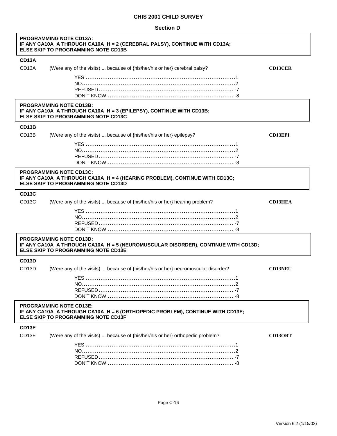| <b>Section D</b> |  |
|------------------|--|
|------------------|--|

| <b>PROGRAMMING NOTE CD13A:</b><br>IF ANY CA10A_A THROUGH CA10A_H = 2 (CEREBRAL PALSY), CONTINUE WITH CD13A;<br><b>ELSE SKIP TO PROGRAMMING NOTE CD13B</b>     |                                                                                                                                                                   |                |  |
|---------------------------------------------------------------------------------------------------------------------------------------------------------------|-------------------------------------------------------------------------------------------------------------------------------------------------------------------|----------------|--|
| <b>CD13A</b>                                                                                                                                                  |                                                                                                                                                                   |                |  |
| CD <sub>13</sub> A                                                                                                                                            | (Were any of the visits)  because of {his/her/his or her} cerebral palsy?                                                                                         | <b>CD13CER</b> |  |
|                                                                                                                                                               |                                                                                                                                                                   |                |  |
|                                                                                                                                                               |                                                                                                                                                                   |                |  |
|                                                                                                                                                               |                                                                                                                                                                   |                |  |
|                                                                                                                                                               | <b>PROGRAMMING NOTE CD13B:</b><br>IF ANY CA10A_A THROUGH CA10A_H = 3 (EPILEPSY), CONTINUE WITH CD13B;<br><b>ELSE SKIP TO PROGRAMMING NOTE CD13C</b>               |                |  |
| CD <sub>13</sub> B                                                                                                                                            |                                                                                                                                                                   |                |  |
| CD <sub>13</sub> B                                                                                                                                            | (Were any of the visits)  because of {his/her/his or her} epilepsy?                                                                                               | <b>CD13EPI</b> |  |
|                                                                                                                                                               |                                                                                                                                                                   |                |  |
|                                                                                                                                                               |                                                                                                                                                                   |                |  |
|                                                                                                                                                               |                                                                                                                                                                   |                |  |
|                                                                                                                                                               | <b>PROGRAMMING NOTE CD13C:</b><br>IF ANY CA10A_A THROUGH CA10A_H = 4 (HEARING PROBLEM), CONTINUE WITH CD13C;<br><b>ELSE SKIP TO PROGRAMMING NOTE CD13D</b>        |                |  |
| <b>CD13C</b>                                                                                                                                                  |                                                                                                                                                                   |                |  |
| CD <sub>13</sub> C                                                                                                                                            | (Were any of the visits)  because of {his/her/his or her} hearing problem?                                                                                        | <b>CD13HEA</b> |  |
|                                                                                                                                                               |                                                                                                                                                                   |                |  |
|                                                                                                                                                               | <b>PROGRAMMING NOTE CD13D:</b><br>IF ANY CA10A_A THROUGH CA10A_H = 5 (NEUROMUSCULAR DISORDER), CONTINUE WITH CD13D;<br><b>ELSE SKIP TO PROGRAMMING NOTE CD13E</b> |                |  |
| CD <sub>13</sub> D                                                                                                                                            |                                                                                                                                                                   |                |  |
| CD <sub>13</sub> D                                                                                                                                            | (Were any of the visits)  because of {his/her/his or her} neuromuscular disorder?                                                                                 | <b>CD13NEU</b> |  |
|                                                                                                                                                               |                                                                                                                                                                   |                |  |
|                                                                                                                                                               |                                                                                                                                                                   |                |  |
|                                                                                                                                                               |                                                                                                                                                                   |                |  |
| <b>PROGRAMMING NOTE CD13E:</b><br>IF ANY CA10A_A THROUGH CA10A_H = 6 (ORTHOPEDIC PROBLEM), CONTINUE WITH CD13E;<br><b>ELSE SKIP TO PROGRAMMING NOTE CD13F</b> |                                                                                                                                                                   |                |  |
| CD13E                                                                                                                                                         |                                                                                                                                                                   |                |  |
| CD <sub>13E</sub>                                                                                                                                             | (Were any of the visits)  because of {his/her/his or her} orthopedic problem?                                                                                     | <b>CD13ORT</b> |  |
|                                                                                                                                                               |                                                                                                                                                                   |                |  |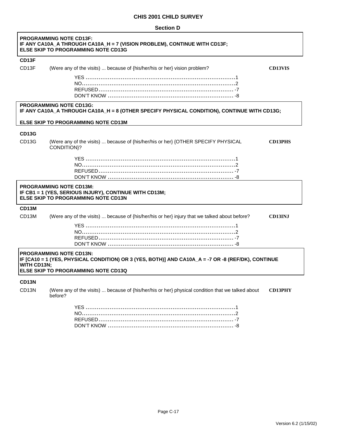| <b>Section D</b> |  |
|------------------|--|
|------------------|--|

 $\overline{1}$ 

|                                                                                                                                                                                                   | <b>PROGRAMMING NOTE CD13F:</b><br>IF ANY CA10A_A THROUGH CA10A_H = 7 (VISION PROBLEM), CONTINUE WITH CD13F;<br><b>ELSE SKIP TO PROGRAMMING NOTE CD13G</b> |                |
|---------------------------------------------------------------------------------------------------------------------------------------------------------------------------------------------------|-----------------------------------------------------------------------------------------------------------------------------------------------------------|----------------|
| CD <sub>13</sub> F                                                                                                                                                                                |                                                                                                                                                           |                |
| CD <sub>13</sub> F                                                                                                                                                                                | (Were any of the visits)  because of {his/her/his or her} vision problem?                                                                                 | <b>CD13VIS</b> |
|                                                                                                                                                                                                   |                                                                                                                                                           |                |
|                                                                                                                                                                                                   | <b>PROGRAMMING NOTE CD13G:</b><br>IF ANY CA10A_A THROUGH CA10A_H = 8 (OTHER SPECIFY PHYSICAL CONDITION), CONTINUE WITH CD13G;                             |                |
|                                                                                                                                                                                                   | ELSE SKIP TO PROGRAMMING NOTE CD13M                                                                                                                       |                |
| <b>CD13G</b>                                                                                                                                                                                      |                                                                                                                                                           |                |
| CD <sub>13</sub> G                                                                                                                                                                                | (Were any of the visits)  because of {his/her/his or her} {OTHER SPECIFY PHYSICAL<br>CONDITION}?                                                          | <b>CD13PHS</b> |
|                                                                                                                                                                                                   |                                                                                                                                                           |                |
|                                                                                                                                                                                                   | <b>PROGRAMMING NOTE CD13M:</b><br>IF CB1 = 1 (YES, SERIOUS INJURY), CONTINUE WITH CD13M;<br>ELSE SKIP TO PROGRAMMING NOTE CD13N                           |                |
| CD13M                                                                                                                                                                                             |                                                                                                                                                           |                |
| CD <sub>13</sub> M                                                                                                                                                                                | (Were any of the visits)  because of {his/her/his or her} injury that we talked about before?                                                             | <b>CD13INJ</b> |
|                                                                                                                                                                                                   |                                                                                                                                                           |                |
| <b>PROGRAMMING NOTE CD13N:</b><br>IF [CA10 = 1 (YES, PHYSICAL CONDITION) OR 3 (YES, BOTH)] AND CA10A_A = -7 OR -8 (REF/DK), CONTINUE<br><b>WITH CD13N;</b><br>ELSE SKIP TO PROGRAMMING NOTE CD13Q |                                                                                                                                                           |                |
| CD <sub>13N</sub><br>CD <sub>13N</sub>                                                                                                                                                            | (Were any of the visits)  because of {his/her/his or her} physical condition that we talked about<br>before?                                              | <b>CD13PHY</b> |

٦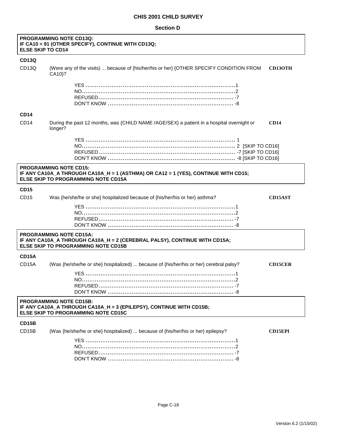#### **Section D**

| <b>PROGRAMMING NOTE CD13Q:</b><br>IF CA10 = 91 (OTHER SPECIFY), CONTINUE WITH CD13Q;<br><b>ELSE SKIP TO CD14</b> |                                                                                                                                                            |                |
|------------------------------------------------------------------------------------------------------------------|------------------------------------------------------------------------------------------------------------------------------------------------------------|----------------|
| <b>CD13Q</b>                                                                                                     |                                                                                                                                                            |                |
| CD <sub>13Q</sub>                                                                                                | (Were any of the visits)  because of {his/her/his or her} {OTHER SPECIFY CONDITION FROM<br>CA10 <sup>2</sup>                                               | <b>CD13OTH</b> |
|                                                                                                                  |                                                                                                                                                            |                |
|                                                                                                                  |                                                                                                                                                            |                |
| <b>CD14</b>                                                                                                      |                                                                                                                                                            |                |
| CD14                                                                                                             | During the past 12 months, was {CHILD NAME /AGE/SEX} a patient in a hospital overnight or<br>CD14<br>longer?                                               |                |
|                                                                                                                  |                                                                                                                                                            |                |
|                                                                                                                  | <b>PROGRAMMING NOTE CD15:</b><br>IF ANY CA10A_A THROUGH CA10A_H = 1 (ASTHMA) OR CA12 = 1 (YES), CONTINUE WITH CD15;<br>ELSE SKIP TO PROGRAMMING NOTE CD15A |                |
| <b>CD15</b>                                                                                                      |                                                                                                                                                            |                |
| CD15                                                                                                             | Was {he/she/he or she} hospitalized because of {his/her/his or her} asthma?                                                                                | <b>CD15AST</b> |
|                                                                                                                  |                                                                                                                                                            |                |
|                                                                                                                  | <b>PROGRAMMING NOTE CD15A:</b><br>IF ANY CA10A_A THROUGH CA10A_H = 2 (CEREBRAL PALSY), CONTINUE WITH CD15A;<br><b>ELSE SKIP TO PROGRAMMING NOTE CD15B</b>  |                |
| <b>CD15A</b>                                                                                                     |                                                                                                                                                            |                |
| CD <sub>15</sub> A                                                                                               | (Was {he/she/he or she} hospitalized)  because of {his/her/his or her} cerebral palsy?                                                                     | <b>CD15CER</b> |
|                                                                                                                  |                                                                                                                                                            |                |
|                                                                                                                  | <b>PROGRAMMING NOTE CD15B:</b><br>IF ANY CA10A_A THROUGH CA10A_H = 3 (EPILEPSY), CONTINUE WITH CD15B;<br><b>ELSE SKIP TO PROGRAMMING NOTE CD15C</b>        |                |
| CD15B                                                                                                            |                                                                                                                                                            |                |
| CD <sub>15</sub> B                                                                                               | (Was {he/she/he or she} hospitalized)  because of {his/her/his or her} epilepsy?                                                                           | <b>CD15EPI</b> |
|                                                                                                                  |                                                                                                                                                            |                |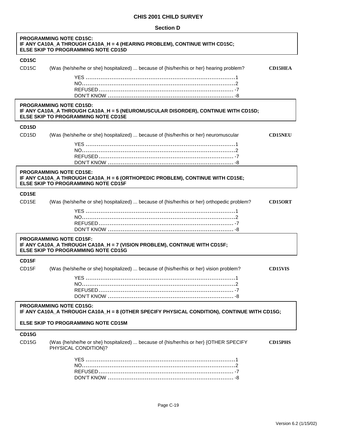## **Section D**

Г

| <b>PROGRAMMING NOTE CD15C:</b><br>IF ANY CA10A_A THROUGH CA10A_H = 4 (HEARING PROBLEM), CONTINUE WITH CD15C;<br><b>ELSE SKIP TO PROGRAMMING NOTE CD15D</b> |                                                                                                                                                                   |                |
|------------------------------------------------------------------------------------------------------------------------------------------------------------|-------------------------------------------------------------------------------------------------------------------------------------------------------------------|----------------|
| <b>CD15C</b>                                                                                                                                               |                                                                                                                                                                   |                |
| CD <sub>15</sub> C                                                                                                                                         | (Was {he/she/he or she} hospitalized)  because of {his/her/his or her} hearing problem?                                                                           | <b>CD15HEA</b> |
|                                                                                                                                                            |                                                                                                                                                                   |                |
|                                                                                                                                                            | <b>PROGRAMMING NOTE CD15D:</b><br>IF ANY CA10A_A THROUGH CA10A_H = 5 (NEUROMUSCULAR DISORDER), CONTINUE WITH CD15D;<br><b>ELSE SKIP TO PROGRAMMING NOTE CD15E</b> |                |
| <b>CD15D</b>                                                                                                                                               |                                                                                                                                                                   |                |
| CD <sub>15</sub> D                                                                                                                                         | (Was {he/she/he or she} hospitalized)  because of {his/her/his or her} neuromuscular                                                                              | <b>CD15NEU</b> |
|                                                                                                                                                            |                                                                                                                                                                   |                |
|                                                                                                                                                            | <b>PROGRAMMING NOTE CD15E:</b><br>IF ANY CA10A_A THROUGH CA10A_H = 6 (ORTHOPEDIC PROBLEM), CONTINUE WITH CD15E;<br><b>ELSE SKIP TO PROGRAMMING NOTE CD15F</b>     |                |
| CD15E                                                                                                                                                      |                                                                                                                                                                   |                |
| CD <sub>15E</sub>                                                                                                                                          | (Was {he/she/he or she} hospitalized)  because of {his/her/his or her} orthopedic problem?                                                                        | <b>CD15ORT</b> |
|                                                                                                                                                            |                                                                                                                                                                   |                |
|                                                                                                                                                            | <b>PROGRAMMING NOTE CD15F:</b><br>IF ANY CA10A_A THROUGH CA10A_H = 7 (VISION PROBLEM), CONTINUE WITH CD15F;<br><b>ELSE SKIP TO PROGRAMMING NOTE CD15G</b>         |                |
| CD15F                                                                                                                                                      |                                                                                                                                                                   |                |
| CD <sub>15F</sub>                                                                                                                                          | (Was {he/she/he or she} hospitalized)  because of {his/her/his or her} vision problem?                                                                            | <b>CD15VIS</b> |
|                                                                                                                                                            |                                                                                                                                                                   |                |
|                                                                                                                                                            | <b>PROGRAMMING NOTE CD15G:</b><br>IF ANY CA10A_A THROUGH CA10A_H = 8 (OTHER SPECIFY PHYSICAL CONDITION), CONTINUE WITH CD15G;                                     |                |
|                                                                                                                                                            | ELSE SKIP TO PROGRAMMING NOTE CD15M                                                                                                                               |                |
| <b>CD15G</b><br>CD <sub>15</sub> G                                                                                                                         | (Was {he/she/he or she} hospitalized)  because of {his/her/his or her} {OTHER SPECIFY<br>PHYSICAL CONDITION}?                                                     | <b>CD15PHS</b> |
|                                                                                                                                                            |                                                                                                                                                                   |                |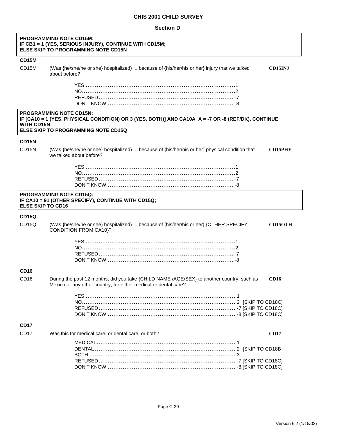#### **Section D**

| <b>PROGRAMMING NOTE CD15M:</b><br>IF CB1 = 1 (YES, SERIOUS INJURY), CONTINUE WITH CD15M;<br><b>ELSE SKIP TO PROGRAMMING NOTE CD15N</b> |                                                                                                                                                                                                   |  |  |
|----------------------------------------------------------------------------------------------------------------------------------------|---------------------------------------------------------------------------------------------------------------------------------------------------------------------------------------------------|--|--|
| CD15M                                                                                                                                  |                                                                                                                                                                                                   |  |  |
| CD15M                                                                                                                                  | (Was {he/she/he or she} hospitalized)  because of {his/her/his or her} injury that we talked<br><b>CD15INJ</b><br>about before?                                                                   |  |  |
|                                                                                                                                        |                                                                                                                                                                                                   |  |  |
|                                                                                                                                        | <b>PROGRAMMING NOTE CD15N:</b><br>IF [CA10 = 1 (YES, PHYSICAL CONDITION) OR 3 (YES, BOTH)] AND CA10A_A = -7 OR -8 (REF/DK), CONTINUE<br><b>WITH CD15N:</b><br>ELSE SKIP TO PROGRAMMING NOTE CD15Q |  |  |
| CD <sub>15N</sub>                                                                                                                      |                                                                                                                                                                                                   |  |  |
| CD <sub>15N</sub>                                                                                                                      | (Was {he/she/he or she} hospitalized)  because of {his/her/his or her} physical condition that<br><b>CD15PHY</b><br>we talked about before?                                                       |  |  |
|                                                                                                                                        |                                                                                                                                                                                                   |  |  |
| <b>ELSE SKIP TO CD16</b>                                                                                                               | <b>PROGRAMMING NOTE CD15Q:</b><br>IF CA10 = 91 (OTHER SPECIFY), CONTINUE WITH CD15Q;                                                                                                              |  |  |
| <b>CD15Q</b>                                                                                                                           |                                                                                                                                                                                                   |  |  |
| CD <sub>15Q</sub>                                                                                                                      | (Was {he/she/he or she) hospitalized)  because of {his/her/his or her} {OTHER SPECIFY<br><b>CD15OTH</b><br><b>CONDITION FROM CA10}?</b>                                                           |  |  |
|                                                                                                                                        |                                                                                                                                                                                                   |  |  |
| <b>CD16</b>                                                                                                                            |                                                                                                                                                                                                   |  |  |
| CD <sub>16</sub>                                                                                                                       | During the past 12 months, did you take {CHILD NAME /AGE/SEX} to another country, such as<br><b>CD16</b><br>Mexico or any other country, for either medical or dental care?                       |  |  |
|                                                                                                                                        |                                                                                                                                                                                                   |  |  |
| <b>CD17</b>                                                                                                                            |                                                                                                                                                                                                   |  |  |
| CD <sub>17</sub>                                                                                                                       | Was this for medical care, or dental care, or both?<br>CD17                                                                                                                                       |  |  |
|                                                                                                                                        |                                                                                                                                                                                                   |  |  |

٦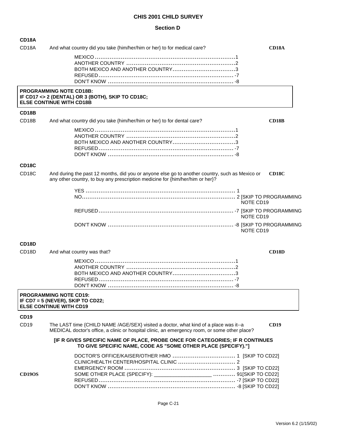#### **Section D**

| <b>CD18A</b>       |                                                                                                                                                                                       |                    |
|--------------------|---------------------------------------------------------------------------------------------------------------------------------------------------------------------------------------|--------------------|
| CD <sub>18</sub> A | And what country did you take {him/her/him or her} to for medical care?                                                                                                               | CD18A              |
|                    |                                                                                                                                                                                       |                    |
|                    |                                                                                                                                                                                       |                    |
|                    |                                                                                                                                                                                       |                    |
|                    |                                                                                                                                                                                       |                    |
|                    | <b>PROGRAMMING NOTE CD18B:</b><br>IF CD17 <> 2 (DENTAL) OR 3 (BOTH), SKIP TO CD18C;<br><b>ELSE CONTINUE WITH CD18B</b>                                                                |                    |
| CD <sub>18</sub> B |                                                                                                                                                                                       |                    |
| CD <sub>18</sub> B | And what country did you take {him/her/him or her} to for dental care?                                                                                                                | <b>CD18B</b>       |
|                    |                                                                                                                                                                                       |                    |
| CD <sub>18</sub> C |                                                                                                                                                                                       |                    |
| CD <sub>18</sub> C | And during the past 12 months, did you or anyone else go to another country, such as Mexico or<br>any other country, to buy any prescription medicine for {him/her/him or her}?       | CD <sub>18</sub> C |
|                    |                                                                                                                                                                                       |                    |
|                    |                                                                                                                                                                                       | NOTE CD19          |
|                    |                                                                                                                                                                                       | NOTE CD19          |
|                    |                                                                                                                                                                                       | NOTE CD19          |
| CD <sub>18</sub> D |                                                                                                                                                                                       |                    |
| CD <sub>18</sub> D | And what country was that?                                                                                                                                                            | CD <sub>18</sub> D |
|                    |                                                                                                                                                                                       |                    |
|                    |                                                                                                                                                                                       |                    |
|                    |                                                                                                                                                                                       |                    |
|                    |                                                                                                                                                                                       |                    |
|                    | <b>PROGRAMMING NOTE CD19:</b><br>IF CD7 = 5 (NEVER), SKIP TO CD22;<br><b>ELSE CONTINUE WITH CD19</b>                                                                                  |                    |
| <b>CD19</b>        |                                                                                                                                                                                       |                    |
| CD <sub>19</sub>   | The LAST time {CHILD NAME /AGE/SEX} visited a doctor, what kind of a place was it--a<br>MEDICAL doctor's office, a clinic or hospital clinic, an emergency room, or some other place? | <b>CD19</b>        |
|                    | [IF R GIVES SPECIFIC NAME OF PLACE, PROBE ONCE FOR CATEGORIES; IF R CONTINUES<br>TO GIVE SPECIFIC NAME, CODE AS "SOME OTHER PLACE (SPECIFY)."]                                        |                    |
|                    |                                                                                                                                                                                       |                    |
|                    |                                                                                                                                                                                       |                    |
| <b>CD19OS</b>      |                                                                                                                                                                                       |                    |
|                    |                                                                                                                                                                                       |                    |
|                    |                                                                                                                                                                                       |                    |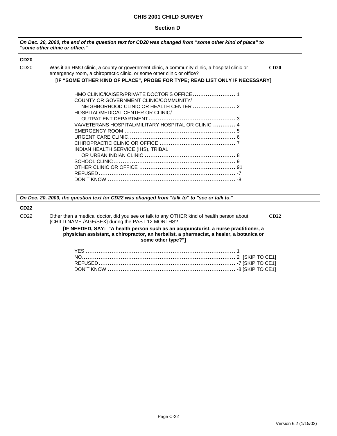#### **Section D**

| On Dec. 20, 2000, the end of the question text for CD20 was changed from "some other kind of place" to<br>"some other clinic or office." |                                                                                                                                                                         |      |
|------------------------------------------------------------------------------------------------------------------------------------------|-------------------------------------------------------------------------------------------------------------------------------------------------------------------------|------|
| <b>CD20</b>                                                                                                                              |                                                                                                                                                                         |      |
| CD <sub>20</sub>                                                                                                                         | Was it an HMO clinic, a county or government clinic, a community clinic, a hospital clinic or<br>emergency room, a chiropractic clinic, or some other clinic or office? | CD20 |
|                                                                                                                                          | [IF "SOME OTHER KIND OF PLACE", PROBE FOR TYPE; READ LIST ONLY IF NECESSARY]                                                                                            |      |
|                                                                                                                                          |                                                                                                                                                                         |      |
|                                                                                                                                          | COUNTY OR GOVERNMENT CLINIC/COMMUNITY/                                                                                                                                  |      |
|                                                                                                                                          |                                                                                                                                                                         |      |
|                                                                                                                                          | HOSPITAL/MEDICAL CENTER OR CLINIC/                                                                                                                                      |      |
|                                                                                                                                          |                                                                                                                                                                         |      |
|                                                                                                                                          | VA/VETERANS HOSPITAL/MILITARY HOSPITAL OR CLINIC  4                                                                                                                     |      |
|                                                                                                                                          |                                                                                                                                                                         |      |
|                                                                                                                                          |                                                                                                                                                                         |      |
|                                                                                                                                          |                                                                                                                                                                         |      |
|                                                                                                                                          | INDIAN HEALTH SERVICE (IHS), TRIBAL                                                                                                                                     |      |
|                                                                                                                                          |                                                                                                                                                                         |      |
|                                                                                                                                          |                                                                                                                                                                         |      |
|                                                                                                                                          |                                                                                                                                                                         |      |
|                                                                                                                                          |                                                                                                                                                                         |      |
|                                                                                                                                          |                                                                                                                                                                         |      |

*On Dec. 20, 2000, the question text for CD22 was changed from "talk to" to "see or talk to."*

### **CD22**

CD22 Other than a medical doctor, did you see or talk to any OTHER kind of health person about **CD22** {CHILD NAME /AGE/SEX} during the PAST 12 MONTHS?

> **[IF NEEDED, SAY: "A health person such as an acupuncturist, a nurse practitioner, a physician assistant, a chiropractor, an herbalist, a pharmacist, a healer, a botanica or some other type?"]**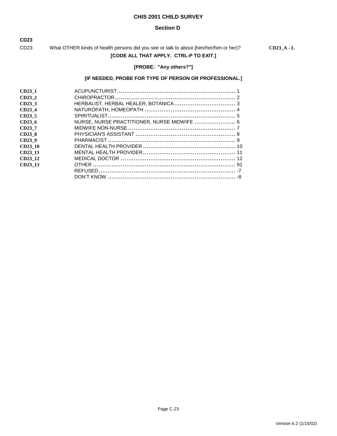#### **Section D**

**CD23**

CD23 What OTHER kinds of health persons did you see or talk to about {him/her/him or her}? **CD23\_A - L [CODE ALL THAT APPLY. CTRL-P TO EXIT.]**

## **[PROBE: "Any others?"]**

## **[IF NEEDED, PROBE FOR TYPE OF PERSON OR PROFESSIONAL.]**

| CD23 1             |                                             |  |
|--------------------|---------------------------------------------|--|
| CD23 2             |                                             |  |
| CD23 3             |                                             |  |
| CD23 4             |                                             |  |
| CD <sub>23</sub> 5 |                                             |  |
| CD23 <sub>6</sub>  | NURSE, NURSE PRACTITIONER, NURSE MIDWIFE  6 |  |
| CD23 7             |                                             |  |
| CD23 8             |                                             |  |
| CD23 9             |                                             |  |
| CD23 10            |                                             |  |
| CD23 11            |                                             |  |
| CD23 12            |                                             |  |
| CD23 13            |                                             |  |
|                    |                                             |  |
|                    |                                             |  |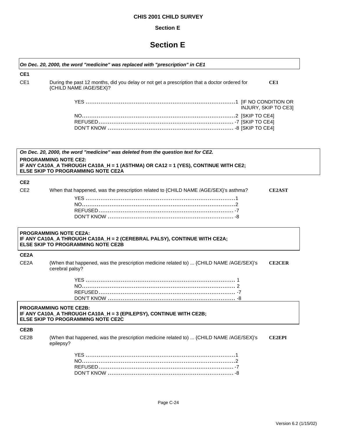## **Section E**

## **Section E**

| CE <sub>1</sub>   |                                                                                                                                                        |
|-------------------|--------------------------------------------------------------------------------------------------------------------------------------------------------|
| CE <sub>1</sub>   | During the past 12 months, did you delay or not get a prescription that a doctor ordered for<br>CE1<br>{CHILD NAME /AGE/SEX}?                          |
|                   | INJURY, SKIP TO CE3]                                                                                                                                   |
|                   |                                                                                                                                                        |
|                   | On Dec. 20, 2000, the word "medicine" was deleted from the question text for CE2.<br><b>PROGRAMMING NOTE CE2:</b>                                      |
|                   | IF ANY CA10A_A THROUGH CA10A_H = 1 (ASTHMA) OR CA12 = 1 (YES), CONTINUE WITH CE2;<br>ELSE SKIP TO PROGRAMMING NOTE CE2A                                |
| CE <sub>2</sub>   |                                                                                                                                                        |
| CE <sub>2</sub>   | When that happened, was the prescription related to {CHILD NAME /AGE/SEX}'s asthma?<br><b>CE2AST</b>                                                   |
|                   | <b>PROGRAMMING NOTE CE2A:</b><br>IF ANY CA10A_A THROUGH CA10A_H = 2 (CEREBRAL PALSY), CONTINUE WITH CE2A;<br><b>ELSE SKIP TO PROGRAMMING NOTE CE2B</b> |
| CE <sub>2</sub> A |                                                                                                                                                        |
| CE <sub>2</sub> A | (When that happened, was the prescription medicine related to)  {CHILD NAME /AGE/SEX}'s<br><b>CE2CER</b><br>cerebral palsy?                            |
|                   |                                                                                                                                                        |
|                   | <b>PROGRAMMING NOTE CE2B:</b><br>IF ANY CA10A_A THROUGH CA10A_H = 3 (EPILEPSY), CONTINUE WITH CE2B;<br>ELSE SKIP TO PROGRAMMING NOTE CE2C              |
| CE2B              |                                                                                                                                                        |
| CE2B              | (When that happened, was the prescription medicine related to)  {CHILD NAME /AGE/SEX}'s<br><b>CE2EPI</b><br>epilepsy?                                  |
|                   |                                                                                                                                                        |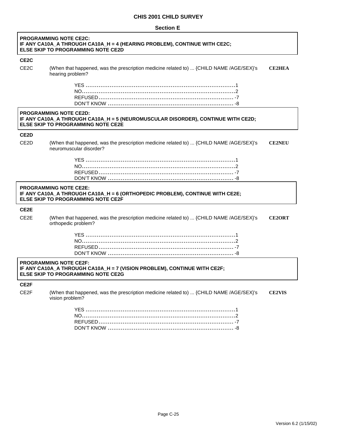#### **Section E**

ſ

| <b>PROGRAMMING NOTE CE2C:</b><br>IF ANY CA10A_A THROUGH CA10A_H = 4 (HEARING PROBLEM), CONTINUE WITH CE2C;<br><b>ELSE SKIP TO PROGRAMMING NOTE CE2D</b> |                                                                                                                                                                |               |
|---------------------------------------------------------------------------------------------------------------------------------------------------------|----------------------------------------------------------------------------------------------------------------------------------------------------------------|---------------|
| CE <sub>2</sub> C                                                                                                                                       |                                                                                                                                                                |               |
| CE <sub>2</sub> C                                                                                                                                       | (When that happened, was the prescription medicine related to)  {CHILD NAME /AGE/SEX}'s<br>hearing problem?                                                    | <b>CE2HEA</b> |
|                                                                                                                                                         |                                                                                                                                                                |               |
|                                                                                                                                                         | <b>PROGRAMMING NOTE CE2D:</b><br>IF ANY CA10A_A THROUGH CA10A_H = 5 (NEUROMUSCULAR DISORDER), CONTINUE WITH CE2D;<br><b>ELSE SKIP TO PROGRAMMING NOTE CE2E</b> |               |
| CE <sub>2</sub> D                                                                                                                                       |                                                                                                                                                                |               |
| CE <sub>2</sub> D                                                                                                                                       | (When that happened, was the prescription medicine related to)  {CHILD NAME /AGE/SEX}'s<br>neuromuscular disorder?                                             | <b>CE2NEU</b> |
|                                                                                                                                                         |                                                                                                                                                                |               |
|                                                                                                                                                         | <b>PROGRAMMING NOTE CE2E:</b><br>IF ANY CA10A_A THROUGH CA10A_H = 6 (ORTHOPEDIC PROBLEM), CONTINUE WITH CE2E;<br>ELSE SKIP TO PROGRAMMING NOTE CE2F            |               |
| CE <sub>2</sub> E                                                                                                                                       |                                                                                                                                                                |               |
| CE <sub>2</sub> E                                                                                                                                       | (When that happened, was the prescription medicine related to)  {CHILD NAME /AGE/SEX}'s<br>orthopedic problem?                                                 | <b>CE2ORT</b> |
|                                                                                                                                                         |                                                                                                                                                                |               |
|                                                                                                                                                         | <b>PROGRAMMING NOTE CE2F:</b><br>IF ANY CA10A_A THROUGH CA10A_H = 7 (VISION PROBLEM), CONTINUE WITH CE2F;<br><b>ELSE SKIP TO PROGRAMMING NOTE CE2G</b>         |               |
| CE <sub>2</sub> F                                                                                                                                       |                                                                                                                                                                |               |
| CE2F                                                                                                                                                    | (When that happened, was the prescription medicine related to)  {CHILD NAME /AGE/SEX}'s<br>vision problem?                                                     | <b>CE2VIS</b> |
|                                                                                                                                                         |                                                                                                                                                                |               |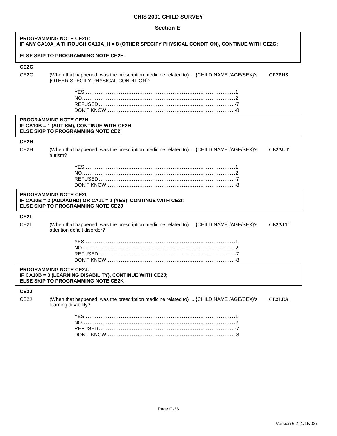| <b>Section E</b> |  |
|------------------|--|
|------------------|--|

| <b>PROGRAMMING NOTE CE2G:</b><br>IF ANY CA10A_A THROUGH CA10A_H = 8 (OTHER SPECIFY PHYSICAL CONDITION), CONTINUE WITH CE2G; |                                                                                                                                              |               |
|-----------------------------------------------------------------------------------------------------------------------------|----------------------------------------------------------------------------------------------------------------------------------------------|---------------|
|                                                                                                                             | <b>ELSE SKIP TO PROGRAMMING NOTE CE2H</b>                                                                                                    |               |
| CE <sub>2</sub> G                                                                                                           |                                                                                                                                              |               |
| CE <sub>2</sub> G                                                                                                           | (When that happened, was the prescription medicine related to)  {CHILD NAME /AGE/SEX}'s<br>{OTHER SPECIFY PHYSICAL CONDITION}?               | <b>CE2PHS</b> |
|                                                                                                                             |                                                                                                                                              |               |
|                                                                                                                             | <b>PROGRAMMING NOTE CE2H:</b><br>IF CA10B = 1 (AUTISM), CONTINUE WITH CE2H;<br><b>ELSE SKIP TO PROGRAMMING NOTE CE2I</b>                     |               |
| CE2H                                                                                                                        |                                                                                                                                              |               |
| CE <sub>2</sub> H                                                                                                           | (When that happened, was the prescription medicine related to)  {CHILD NAME /AGE/SEX}'s<br>autism?                                           | <b>CE2AUT</b> |
|                                                                                                                             |                                                                                                                                              |               |
|                                                                                                                             | <b>PROGRAMMING NOTE CE2I:</b><br>IF CA10B = 2 (ADD/ADHD) OR CA11 = 1 (YES), CONTINUE WITH CE2I;<br><b>ELSE SKIP TO PROGRAMMING NOTE CE2J</b> |               |
| CE2I                                                                                                                        |                                                                                                                                              |               |
| CE <sub>2</sub> I                                                                                                           | (When that happened, was the prescription medicine related to)  {CHILD NAME /AGE/SEX}'s<br>attention deficit disorder?                       | <b>CE2ATT</b> |
|                                                                                                                             |                                                                                                                                              |               |
|                                                                                                                             | <b>PROGRAMMING NOTE CE2J:</b><br>IF CA10B = 3 (LEARNING DISABILITY), CONTINUE WITH CE2J;<br>ELSE SKIP TO PROGRAMMING NOTE CE2K               |               |
| CE <sub>2</sub> J                                                                                                           |                                                                                                                                              |               |
| CE <sub>2</sub> J                                                                                                           | (When that happened, was the prescription medicine related to)  {CHILD NAME /AGE/SEX}'s<br>learning disability?                              | <b>CE2LEA</b> |
|                                                                                                                             |                                                                                                                                              |               |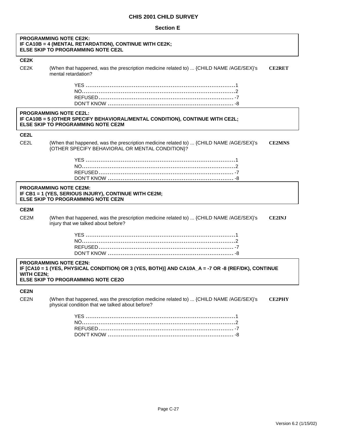#### **Section E**

|                   | <b>PROGRAMMING NOTE CE2K:</b><br>IF CA10B = 4 (MENTAL RETARDATION), CONTINUE WITH CE2K;<br>ELSE SKIP TO PROGRAMMING NOTE CE2L                                             |               |
|-------------------|---------------------------------------------------------------------------------------------------------------------------------------------------------------------------|---------------|
| CE <sub>2</sub> K |                                                                                                                                                                           |               |
| CE <sub>2</sub> K | (When that happened, was the prescription medicine related to)  {CHILD NAME /AGE/SEX}'s<br>mental retardation?                                                            | <b>CE2RET</b> |
|                   |                                                                                                                                                                           |               |
|                   | <b>PROGRAMMING NOTE CE2L:</b><br>IF CA10B = 5 (OTHER SPECIFY BEHAVIORAL/MENTAL CONDITION), CONTINUE WITH CE2L;<br><b>ELSE SKIP TO PROGRAMMING NOTE CE2M</b>               |               |
| CE <sub>2</sub> L |                                                                                                                                                                           |               |
| CE <sub>2</sub> L | (When that happened, was the prescription medicine related to)  {CHILD NAME /AGE/SEX}'s<br>{OTHER SPECIFY BEHAVIORAL OR MENTAL CONDITION}?                                | <b>CE2MNS</b> |
|                   |                                                                                                                                                                           |               |
|                   | <b>PROGRAMMING NOTE CE2M:</b><br>IF CB1 = 1 (YES, SERIOUS INJURY), CONTINUE WITH CE2M;<br><b>ELSE SKIP TO PROGRAMMING NOTE CE2N</b>                                       |               |
| CE2M              |                                                                                                                                                                           |               |
| CE <sub>2</sub> M | (When that happened, was the prescription medicine related to)  {CHILD NAME /AGE/SEX}'s<br>injury that we talked about before?                                            | <b>CE2INJ</b> |
|                   |                                                                                                                                                                           |               |
| <b>WITH CE2N:</b> | <b>PROGRAMMING NOTE CE2N:</b><br>IF [CA10 = 1 (YES, PHYSICAL CONDITION) OR 3 (YES, BOTH)] AND CA10A_A = -7 OR -8 (REF/DK), CONTINUE<br>ELSE SKIP TO PROGRAMMING NOTE CE2O |               |
| CE <sub>2N</sub>  |                                                                                                                                                                           |               |
| CE <sub>2N</sub>  | (When that happened, was the prescription medicine related to)  {CHILD NAME /AGE/SEX}'s<br>physical condition that we talked about before?                                | <b>CE2PHY</b> |
|                   |                                                                                                                                                                           |               |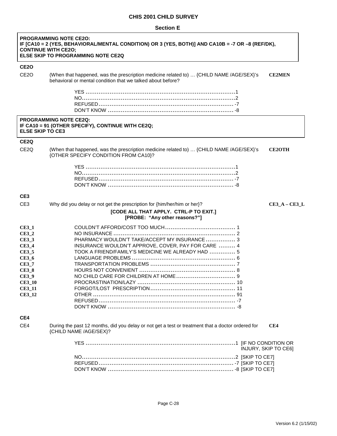**Section E**

| <b>PROGRAMMING NOTE CE20:</b><br>IF [CA10 = 2 (YES, BEHAVIORAL/MENTAL CONDITION) OR 3 (YES, BOTH)] AND CA10B = -7 OR -8 (REF/DK),<br><b>CONTINUE WITH CE2O;</b><br>ELSE SKIP TO PROGRAMMING NOTE CE2Q |                                                                                                                                                        |                      |  |
|-------------------------------------------------------------------------------------------------------------------------------------------------------------------------------------------------------|--------------------------------------------------------------------------------------------------------------------------------------------------------|----------------------|--|
| <b>CE20</b>                                                                                                                                                                                           |                                                                                                                                                        |                      |  |
| CE <sub>2</sub> O                                                                                                                                                                                     | (When that happened, was the prescription medicine related to)  {CHILD NAME /AGE/SEX}'s<br>behavioral or mental condition that we talked about before? | <b>CE2MEN</b>        |  |
|                                                                                                                                                                                                       |                                                                                                                                                        |                      |  |
| <b>ELSE SKIP TO CE3</b>                                                                                                                                                                               | <b>PROGRAMMING NOTE CE2Q:</b><br>IF CA10 = 91 (OTHER SPECIFY), CONTINUE WITH CE2Q;                                                                     |                      |  |
| CE <sub>2</sub> Q                                                                                                                                                                                     |                                                                                                                                                        |                      |  |
| CE <sub>2</sub> Q                                                                                                                                                                                     | (When that happened, was the prescription medicine related to)  {CHILD NAME /AGE/SEX}'s<br>{OTHER SPECIFY CONDITION FROM CA10}?                        | <b>CE2OTH</b>        |  |
|                                                                                                                                                                                                       |                                                                                                                                                        |                      |  |
|                                                                                                                                                                                                       |                                                                                                                                                        |                      |  |
|                                                                                                                                                                                                       |                                                                                                                                                        |                      |  |
|                                                                                                                                                                                                       |                                                                                                                                                        |                      |  |
| CE <sub>3</sub>                                                                                                                                                                                       |                                                                                                                                                        |                      |  |
| CE <sub>3</sub>                                                                                                                                                                                       | Why did you delay or not get the prescription for {him/her/him or her}?                                                                                | $CE3_A - CE3_L$      |  |
|                                                                                                                                                                                                       | [CODE ALL THAT APPLY. CTRL-P TO EXIT.]<br>[PROBE: "Any other reasons?"]                                                                                |                      |  |
| $CE3_1$                                                                                                                                                                                               |                                                                                                                                                        |                      |  |
| $CE3_2$                                                                                                                                                                                               |                                                                                                                                                        |                      |  |
| <b>CE3_3</b>                                                                                                                                                                                          | PHARMACY WOULDN'T TAKE/ACCEPT MY INSURANCE  3                                                                                                          |                      |  |
| <b>CE3_4</b>                                                                                                                                                                                          | INSURANCE WOULDN'T APPROVE, COVER, PAY FOR CARE  4                                                                                                     |                      |  |
| <b>CE3 5</b>                                                                                                                                                                                          | TOOK A FRIEND/FAMILY'S MEDICINE WE ALREADY HAD  5                                                                                                      |                      |  |
| <b>CE3_6</b>                                                                                                                                                                                          |                                                                                                                                                        |                      |  |
| $CE3_7$<br>$CE3_8$                                                                                                                                                                                    |                                                                                                                                                        |                      |  |
| <b>CE3_9</b>                                                                                                                                                                                          |                                                                                                                                                        |                      |  |
| <b>CE3_10</b>                                                                                                                                                                                         |                                                                                                                                                        |                      |  |
| <b>CE3_11</b>                                                                                                                                                                                         |                                                                                                                                                        |                      |  |
| <b>CE3 12</b>                                                                                                                                                                                         |                                                                                                                                                        |                      |  |
|                                                                                                                                                                                                       |                                                                                                                                                        |                      |  |
|                                                                                                                                                                                                       |                                                                                                                                                        |                      |  |
| CE4                                                                                                                                                                                                   |                                                                                                                                                        |                      |  |
| CE4                                                                                                                                                                                                   | During the past 12 months, did you delay or not get a test or treatment that a doctor ordered for<br>{CHILD NAME /AGE/SEX}?                            | CE4                  |  |
|                                                                                                                                                                                                       |                                                                                                                                                        | INJURY, SKIP TO CE6] |  |
|                                                                                                                                                                                                       |                                                                                                                                                        |                      |  |
|                                                                                                                                                                                                       |                                                                                                                                                        |                      |  |
|                                                                                                                                                                                                       |                                                                                                                                                        |                      |  |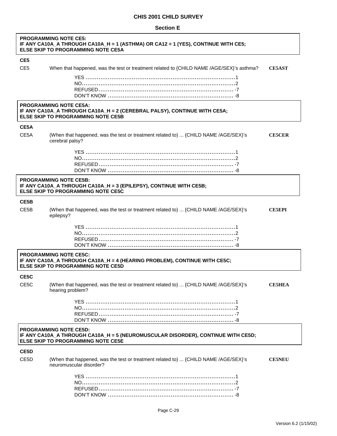#### **Section E**

|                   | <b>PROGRAMMING NOTE CE5:</b><br>IF ANY CA10A_A THROUGH CA10A_H = 1 (ASTHMA) OR CA12 = 1 (YES), CONTINUE WITH CE5;<br><b>ELSE SKIP TO PROGRAMMING NOTE CE5A</b> |               |  |  |
|-------------------|----------------------------------------------------------------------------------------------------------------------------------------------------------------|---------------|--|--|
| CE <sub>5</sub>   |                                                                                                                                                                |               |  |  |
| CE <sub>5</sub>   | When that happened, was the test or treatment related to {CHILD NAME /AGE/SEX}'s asthma?                                                                       | <b>CE5AST</b> |  |  |
|                   |                                                                                                                                                                |               |  |  |
|                   |                                                                                                                                                                |               |  |  |
|                   |                                                                                                                                                                |               |  |  |
|                   |                                                                                                                                                                |               |  |  |
|                   | <b>PROGRAMMING NOTE CE5A:</b><br>IF ANY CA10A_A THROUGH CA10A_H = 2 (CEREBRAL PALSY), CONTINUE WITH CE5A;<br><b>ELSE SKIP TO PROGRAMMING NOTE CE5B</b>         |               |  |  |
| CE5A              |                                                                                                                                                                |               |  |  |
| CE <sub>5</sub> A | (When that happened, was the test or treatment related to)  {CHILD NAME /AGE/SEX}'s<br>cerebral palsy?                                                         | <b>CE5CER</b> |  |  |
|                   |                                                                                                                                                                |               |  |  |
|                   |                                                                                                                                                                |               |  |  |
|                   |                                                                                                                                                                |               |  |  |
|                   |                                                                                                                                                                |               |  |  |
|                   | <b>PROGRAMMING NOTE CE5B:</b><br>IF ANY CA10A_A THROUGH CA10A_H = 3 (EPILEPSY), CONTINUE WITH CE5B;<br><b>ELSE SKIP TO PROGRAMMING NOTE CE5C</b>               |               |  |  |
| CE5B              |                                                                                                                                                                |               |  |  |
| CE5B              | (When that happened, was the test or treatment related to)  {CHILD NAME /AGE/SEX}'s<br>epilepsy?                                                               | <b>CE5EPI</b> |  |  |
|                   |                                                                                                                                                                |               |  |  |
|                   | <b>PROGRAMMING NOTE CE5C:</b><br>IF ANY CA10A_A THROUGH CA10A_H = 4 (HEARING PROBLEM), CONTINUE WITH CE5C;<br><b>ELSE SKIP TO PROGRAMMING NOTE CE5D</b>        |               |  |  |
| CE5C              |                                                                                                                                                                |               |  |  |
| CE5C              | (When that happened, was the test or treatment related to)  {CHILD NAME /AGE/SEX}'s<br>hearing problem?                                                        | <b>CE5HEA</b> |  |  |
|                   |                                                                                                                                                                |               |  |  |
|                   |                                                                                                                                                                |               |  |  |
|                   |                                                                                                                                                                |               |  |  |
|                   |                                                                                                                                                                |               |  |  |
|                   | <b>PROGRAMMING NOTE CE5D:</b><br>IF ANY CA10A_A THROUGH CA10A_H = 5 (NEUROMUSCULAR DISORDER), CONTINUE WITH CE5D;<br><b>ELSE SKIP TO PROGRAMMING NOTE CE5E</b> |               |  |  |
| CE5D              |                                                                                                                                                                |               |  |  |
| CE <sub>5</sub> D | (When that happened, was the test or treatment related to)  {CHILD NAME /AGE/SEX}'s<br>neuromuscular disorder?                                                 | <b>CE5NEU</b> |  |  |
|                   |                                                                                                                                                                |               |  |  |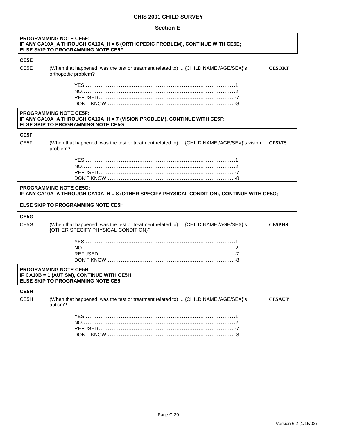#### **Section E**

ľ

| <b>PROGRAMMING NOTE CE5E:</b><br>IF ANY CA10A_A THROUGH CA10A_H = 6 (ORTHOPEDIC PROBLEM), CONTINUE WITH CE5E;<br><b>ELSE SKIP TO PROGRAMMING NOTE CE5F</b> |                                                                                                                                                        |               |  |
|------------------------------------------------------------------------------------------------------------------------------------------------------------|--------------------------------------------------------------------------------------------------------------------------------------------------------|---------------|--|
| CE5E                                                                                                                                                       |                                                                                                                                                        |               |  |
| CE5E                                                                                                                                                       | (When that happened, was the test or treatment related to)  {CHILD NAME /AGE/SEX}'s<br>orthopedic problem?                                             | <b>CE5ORT</b> |  |
|                                                                                                                                                            |                                                                                                                                                        |               |  |
|                                                                                                                                                            | <b>PROGRAMMING NOTE CE5F:</b><br>IF ANY CA10A_A THROUGH CA10A_H = 7 (VISION PROBLEM), CONTINUE WITH CE5F;<br><b>ELSE SKIP TO PROGRAMMING NOTE CE5G</b> |               |  |
| CE5F                                                                                                                                                       |                                                                                                                                                        |               |  |
| CE <sub>5</sub> F                                                                                                                                          | (When that happened, was the test or treatment related to)  {CHILD NAME /AGE/SEX}'s vision<br>problem?                                                 | <b>CE5VIS</b> |  |
|                                                                                                                                                            |                                                                                                                                                        |               |  |
|                                                                                                                                                            | <b>PROGRAMMING NOTE CE5G:</b><br>IF ANY CA10A_A THROUGH CA10A_H = 8 (OTHER SPECIFY PHYSICAL CONDITION), CONTINUE WITH CE5G;                            |               |  |
|                                                                                                                                                            | <b>ELSE SKIP TO PROGRAMMING NOTE CE5H</b>                                                                                                              |               |  |
| CE5G                                                                                                                                                       |                                                                                                                                                        |               |  |
| CE5G                                                                                                                                                       | (When that happened, was the test or treatment related to)  {CHILD NAME /AGE/SEX}'s<br>{OTHER SPECIFY PHYSICAL CONDITION}?                             | <b>CE5PHS</b> |  |
|                                                                                                                                                            |                                                                                                                                                        |               |  |
|                                                                                                                                                            | <b>PROGRAMMING NOTE CE5H:</b><br>IF CA10B = 1 (AUTISM), CONTINUE WITH CE5H;<br><b>ELSE SKIP TO PROGRAMMING NOTE CE51</b>                               |               |  |
| CE5H                                                                                                                                                       |                                                                                                                                                        |               |  |
| CE <sub>5</sub> H                                                                                                                                          | (When that happened, was the test or treatment related to)  {CHILD NAME /AGE/SEX}'s<br>autism?                                                         | <b>CE5AUT</b> |  |
|                                                                                                                                                            |                                                                                                                                                        |               |  |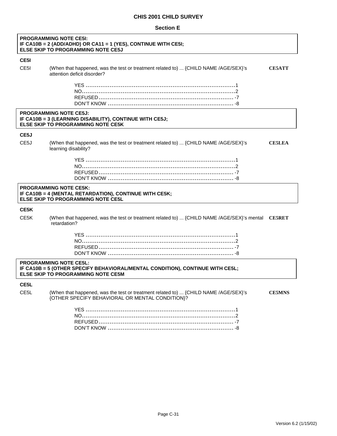#### **Section E**

| <b>PROGRAMMING NOTE CE5I:</b><br>IF CA10B = 2 (ADD/ADHD) OR CA11 = 1 (YES), CONTINUE WITH CE5I;<br><b>ELSE SKIP TO PROGRAMMING NOTE CE5J</b> |                                                                                                                                                      |               |  |
|----------------------------------------------------------------------------------------------------------------------------------------------|------------------------------------------------------------------------------------------------------------------------------------------------------|---------------|--|
| CE5I                                                                                                                                         |                                                                                                                                                      |               |  |
| CE <sub>5</sub> I                                                                                                                            | (When that happened, was the test or treatment related to)  {CHILD NAME /AGE/SEX}'s<br>attention deficit disorder?                                   | <b>CE5ATT</b> |  |
|                                                                                                                                              |                                                                                                                                                      |               |  |
|                                                                                                                                              | <b>PROGRAMMING NOTE CE5J:</b><br>IF CA10B = 3 (LEARNING DISABILITY), CONTINUE WITH CE5J;<br><b>ELSE SKIP TO PROGRAMMING NOTE CE5K</b>                |               |  |
| CE5J                                                                                                                                         |                                                                                                                                                      |               |  |
| CE <sub>5</sub> J                                                                                                                            | (When that happened, was the test or treatment related to)  {CHILD NAME /AGE/SEX}'s<br>learning disability?                                          | <b>CE5LEA</b> |  |
|                                                                                                                                              |                                                                                                                                                      |               |  |
|                                                                                                                                              | <b>PROGRAMMING NOTE CE5K:</b><br>IF CA10B = 4 (MENTAL RETARDATION), CONTINUE WITH CE5K;<br><b>ELSE SKIP TO PROGRAMMING NOTE CE5L</b>                 |               |  |
| CE5K                                                                                                                                         |                                                                                                                                                      |               |  |
| CE5K                                                                                                                                         | (When that happened, was the test or treatment related to)  {CHILD NAME /AGE/SEX}'s mental CESRET<br>retardation?                                    |               |  |
|                                                                                                                                              |                                                                                                                                                      |               |  |
|                                                                                                                                              | <b>PROGRAMMING NOTE CE5L:</b><br>IF CA10B = 5 (OTHER SPECIFY BEHAVIORAL/MENTAL CONDITION), CONTINUE WITH CE5L;<br>ELSE SKIP TO PROGRAMMING NOTE CE5M |               |  |
| CE5L                                                                                                                                         |                                                                                                                                                      |               |  |
| CE <sub>5</sub> L                                                                                                                            | (When that happened, was the test or treatment related to)  {CHILD NAME /AGE/SEX}'s<br>{OTHER SPECIFY BEHAVIORAL OR MENTAL CONDITION}?               | <b>CE5MNS</b> |  |
|                                                                                                                                              |                                                                                                                                                      |               |  |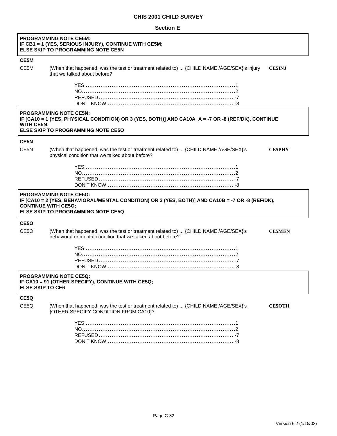#### **Section E**

|                         | <b>PROGRAMMING NOTE CE5M:</b><br>IF CB1 = 1 (YES, SERIOUS INJURY), CONTINUE WITH CE5M;<br><b>ELSE SKIP TO PROGRAMMING NOTE CE5N</b>                                                                          |               |
|-------------------------|--------------------------------------------------------------------------------------------------------------------------------------------------------------------------------------------------------------|---------------|
| CE5M                    |                                                                                                                                                                                                              |               |
| CE5M                    | (When that happened, was the test or treatment related to)  {CHILD NAME /AGE/SEX}'s injury<br>that we talked about before?                                                                                   | <b>CE5INJ</b> |
|                         |                                                                                                                                                                                                              |               |
| WITH CE5N;              | <b>PROGRAMMING NOTE CE5N:</b><br>IF [CA10 = 1 (YES, PHYSICAL CONDITION) OR 3 (YES, BOTH)] AND CA10A_A = -7 OR -8 (REF/DK), CONTINUE<br>ELSE SKIP TO PROGRAMMING NOTE CE50                                    |               |
| CE5N                    |                                                                                                                                                                                                              |               |
| CE <sub>5N</sub>        | (When that happened, was the test or treatment related to)  {CHILD NAME /AGE/SEX}'s<br>physical condition that we talked about before?                                                                       | <b>CE5PHY</b> |
|                         |                                                                                                                                                                                                              |               |
|                         | <b>PROGRAMMING NOTE CE50:</b><br>IF [CA10 = 2 (YES, BEHAVIORAL/MENTAL CONDITION) OR 3 (YES, BOTH)] AND CA10B = -7 OR -8 (REF/DK),<br><b>CONTINUE WITH CE50;</b><br><b>ELSE SKIP TO PROGRAMMING NOTE CE5Q</b> |               |
| CE5O                    |                                                                                                                                                                                                              |               |
| CE <sub>5</sub> O       | (When that happened, was the test or treatment related to)  {CHILD NAME /AGE/SEX}'s<br>behavioral or mental condition that we talked about before?                                                           | <b>CE5MEN</b> |
|                         |                                                                                                                                                                                                              |               |
| <b>ELSE SKIP TO CE6</b> | <b>PROGRAMMING NOTE CE5Q:</b><br>IF CA10 = 91 (OTHER SPECIFY), CONTINUE WITH CE5Q;                                                                                                                           |               |
| CE5Q                    |                                                                                                                                                                                                              |               |
| CE5Q                    | (When that happened, was the test or treatment related to)  {CHILD NAME /AGE/SEX}'s<br>{OTHER SPECIFY CONDITION FROM CA10}?                                                                                  | <b>CE5OTH</b> |
|                         |                                                                                                                                                                                                              |               |

Page C-32

DON'T KNOW .................................................................... -8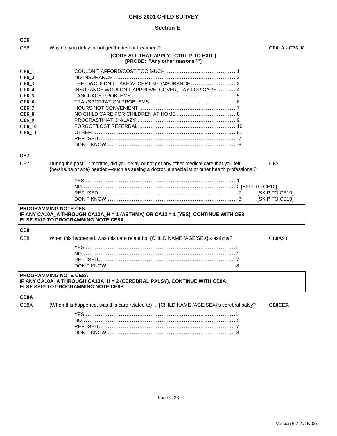## **Section E**

| CE <sub>6</sub>                                                                                                                          |                                                                                                                                                                                           |                                  |
|------------------------------------------------------------------------------------------------------------------------------------------|-------------------------------------------------------------------------------------------------------------------------------------------------------------------------------------------|----------------------------------|
| CE <sub>6</sub>                                                                                                                          | Why did you delay or not get the test or treatment?                                                                                                                                       | <b>CE6_A - CE6_K</b>             |
|                                                                                                                                          | [CODE ALL THAT APPLY. CTRL-P TO EXIT.]<br>[PROBE: "Any other reasons?"]                                                                                                                   |                                  |
| $CE6_1$<br>$CE6_2$<br>CE6_3<br><b>CE6_4</b><br>CE6_5<br><b>CE6_6</b><br>CE6_7<br><b>CE6_8</b><br>CE6_9<br><b>CE6_10</b><br><b>CE6_11</b> | THEY WOULDN'T TAKE/ACCEPT MY INSURANCE  3<br>INSURANCE WOULDN'T APPROVE, COVER, PAY FOR CARE  4                                                                                           |                                  |
| CE7                                                                                                                                      |                                                                                                                                                                                           |                                  |
| CE7                                                                                                                                      | During the past 12 months, did you delay or not get any other medical care that you felt<br>{he/she/he or she} needed—such as seeing a doctor, a specialist or other health professional? | CE7                              |
|                                                                                                                                          | <b>PROGRAMMING NOTE CE8:</b><br>IF ANY CA10A_A THROUGH CA10A_H = 1 (ASTHMA) OR CA12 = 1 (YES), CONTINUE WITH CE8;<br><b>ELSE SKIP TO PROGRAMMING NOTE CE8A</b>                            | [SKIP TO CE10]<br>[SKIP TO CE10] |
| CE8                                                                                                                                      |                                                                                                                                                                                           |                                  |
| CE <sub>8</sub>                                                                                                                          | When this happened, was this care related to {CHILD NAME /AGE/SEX}'s asthma?                                                                                                              | <b>CE8AST</b>                    |
|                                                                                                                                          | <b>PROGRAMMING NOTE CE8A:</b><br>IF ANY CA10A_A THROUGH CA10A_H = 2 (CEREBRAL PALSY), CONTINUE WITH CE8A;<br><b>ELSE SKIP TO PROGRAMMING NOTE CE8B</b>                                    |                                  |
| CE8A                                                                                                                                     |                                                                                                                                                                                           |                                  |
| CE8A                                                                                                                                     | (When this happened, was this care related to)  {CHILD NAME /AGE/SEX}'s cerebral palsy?                                                                                                   | <b>CE8CER</b>                    |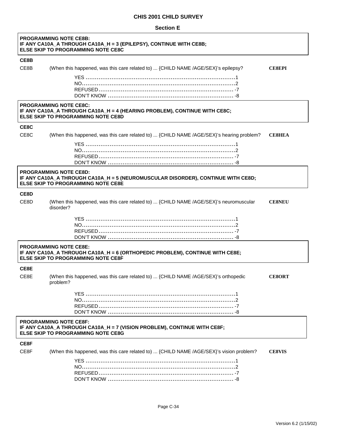#### **Section E**

|                                                                                                                                                        | <b>PROGRAMMING NOTE CE8B:</b><br>IF ANY CA10A_A THROUGH CA10A_H = 3 (EPILEPSY), CONTINUE WITH CE8B;<br><b>ELSE SKIP TO PROGRAMMING NOTE CE8C</b>               |               |  |
|--------------------------------------------------------------------------------------------------------------------------------------------------------|----------------------------------------------------------------------------------------------------------------------------------------------------------------|---------------|--|
| CE8B                                                                                                                                                   |                                                                                                                                                                |               |  |
| CE8B                                                                                                                                                   | (When this happened, was this care related to)  {CHILD NAME /AGE/SEX}'s epilepsy?                                                                              | <b>CE8EPI</b> |  |
|                                                                                                                                                        |                                                                                                                                                                |               |  |
|                                                                                                                                                        | <b>PROGRAMMING NOTE CE8C:</b><br>IF ANY CA10A_A THROUGH CA10A_H = 4 (HEARING PROBLEM), CONTINUE WITH CE8C;<br><b>ELSE SKIP TO PROGRAMMING NOTE CE8D</b>        |               |  |
| CE8C                                                                                                                                                   |                                                                                                                                                                |               |  |
| CE8C                                                                                                                                                   | (When this happened, was this care related to)  {CHILD NAME /AGE/SEX}'s hearing problem?                                                                       | <b>CESHEA</b> |  |
|                                                                                                                                                        |                                                                                                                                                                |               |  |
|                                                                                                                                                        | <b>PROGRAMMING NOTE CE8D:</b><br>IF ANY CA10A_A THROUGH CA10A_H = 5 (NEUROMUSCULAR DISORDER), CONTINUE WITH CE8D;<br><b>ELSE SKIP TO PROGRAMMING NOTE CE8E</b> |               |  |
| CE8D                                                                                                                                                   |                                                                                                                                                                |               |  |
| CE8D                                                                                                                                                   | (When this happened, was this care related to)  {CHILD NAME /AGE/SEX}'s neuromuscular<br>disorder?                                                             | <b>CESNEU</b> |  |
|                                                                                                                                                        |                                                                                                                                                                |               |  |
|                                                                                                                                                        | <b>PROGRAMMING NOTE CE8E:</b><br>IF ANY CA10A_A THROUGH CA10A_H = 6 (ORTHOPEDIC PROBLEM), CONTINUE WITH CE8E;<br><b>ELSE SKIP TO PROGRAMMING NOTE CE8F</b>     |               |  |
| CE8E                                                                                                                                                   |                                                                                                                                                                |               |  |
| CE8E                                                                                                                                                   | (When this happened, was this care related to)  {CHILD NAME /AGE/SEX}'s orthopedic<br>problem?                                                                 | <b>CE8ORT</b> |  |
|                                                                                                                                                        |                                                                                                                                                                |               |  |
| <b>PROGRAMMING NOTE CE8F:</b><br>IF ANY CA10A_A THROUGH CA10A_H = 7 (VISION PROBLEM), CONTINUE WITH CE8F;<br><b>ELSE SKIP TO PROGRAMMING NOTE CE8G</b> |                                                                                                                                                                |               |  |
| CE8F                                                                                                                                                   |                                                                                                                                                                |               |  |
| CE8F                                                                                                                                                   | (When this happened, was this care related to)  {CHILD NAME /AGE/SEX}'s vision problem?                                                                        | <b>CE8VIS</b> |  |
|                                                                                                                                                        |                                                                                                                                                                |               |  |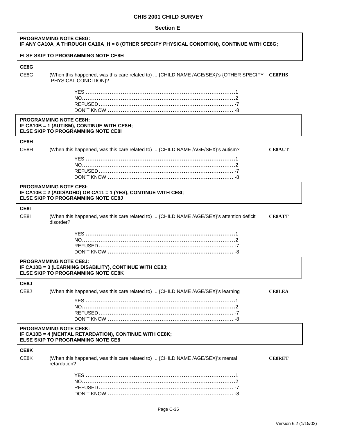#### **Section E**

| <b>PROGRAMMING NOTE CE8G:</b><br>IF ANY CA10A_A THROUGH CA10A_H = 8 (OTHER SPECIFY PHYSICAL CONDITION), CONTINUE WITH CE8G; |                                                                                                                                              |               |
|-----------------------------------------------------------------------------------------------------------------------------|----------------------------------------------------------------------------------------------------------------------------------------------|---------------|
|                                                                                                                             | <b>ELSE SKIP TO PROGRAMMING NOTE CE8H</b>                                                                                                    |               |
| CE8G                                                                                                                        |                                                                                                                                              |               |
| CE8G                                                                                                                        | (When this happened, was this care related to)  {CHILD NAME /AGE/SEX}'s {OTHER SPECIFY CE8PHS<br>PHYSICAL CONDITION}?                        |               |
|                                                                                                                             |                                                                                                                                              |               |
|                                                                                                                             | <b>PROGRAMMING NOTE CE8H:</b><br>IF CA10B = 1 (AUTISM), CONTINUE WITH CE8H;<br><b>ELSE SKIP TO PROGRAMMING NOTE CE81</b>                     |               |
| CE8H                                                                                                                        |                                                                                                                                              |               |
| CE8H                                                                                                                        | (When this happened, was this care related to)  {CHILD NAME /AGE/SEX}'s autism?                                                              | <b>CESAUT</b> |
|                                                                                                                             |                                                                                                                                              |               |
|                                                                                                                             |                                                                                                                                              |               |
|                                                                                                                             |                                                                                                                                              |               |
|                                                                                                                             | <b>PROGRAMMING NOTE CE8I:</b><br>IF CA10B = 2 (ADD/ADHD) OR CA11 = 1 (YES), CONTINUE WITH CE8I;<br><b>ELSE SKIP TO PROGRAMMING NOTE CE8J</b> |               |
| CE8I                                                                                                                        |                                                                                                                                              |               |
| CE8I                                                                                                                        | (When this happened, was this care related to)  {CHILD NAME /AGE/SEX}'s attention deficit<br>disorder?                                       | <b>CESATT</b> |
|                                                                                                                             |                                                                                                                                              |               |
|                                                                                                                             | <b>PROGRAMMING NOTE CE8J:</b><br>IF CA10B = 3 (LEARNING DISABILITY), CONTINUE WITH CE8J;<br><b>ELSE SKIP TO PROGRAMMING NOTE CE8K</b>        |               |
| CE8J                                                                                                                        |                                                                                                                                              |               |
| CE8J                                                                                                                        | (When this happened, was this care related to)  {CHILD NAME /AGE/SEX}'s learning                                                             | <b>CE8LEA</b> |
|                                                                                                                             |                                                                                                                                              |               |
|                                                                                                                             |                                                                                                                                              |               |
|                                                                                                                             | <b>PROGRAMMING NOTE CE8K:</b><br>IF CA10B = 4 (MENTAL RETARDATION), CONTINUE WITH CE8K;<br><b>ELSE SKIP TO PROGRAMMING NOTE CE8</b>          |               |
| CE8K                                                                                                                        |                                                                                                                                              |               |
| CE8K                                                                                                                        | (When this happened, was this care related to)  {CHILD NAME /AGE/SEX}'s mental<br>retardation?                                               | <b>CE8RET</b> |
|                                                                                                                             |                                                                                                                                              |               |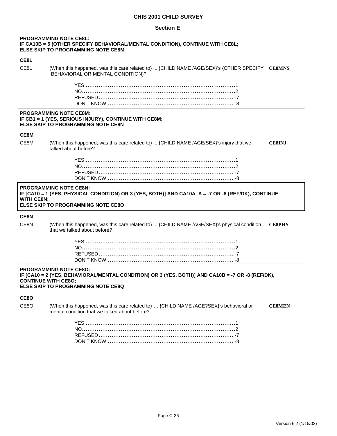#### **Section E**

|                   | <b>PROGRAMMING NOTE CE8L:</b><br>IF CA10B = 5 (OTHER SPECIFY BEHAVIORAL/MENTAL CONDITION), CONTINUE WITH CE8L;<br><b>ELSE SKIP TO PROGRAMMING NOTE CE8M</b>                                                  |               |
|-------------------|--------------------------------------------------------------------------------------------------------------------------------------------------------------------------------------------------------------|---------------|
| CE8L              |                                                                                                                                                                                                              |               |
| CE8L              | (When this happened, was this care related to)  {CHILD NAME /AGE/SEX}'s {OTHER SPECIFY CE8MNS<br>BEHAVIORAL OR MENTAL CONDITION)?                                                                            |               |
|                   |                                                                                                                                                                                                              |               |
|                   | <b>PROGRAMMING NOTE CE8M:</b><br>IF CB1 = 1 (YES, SERIOUS INJURY), CONTINUE WITH CE8M;<br><b>ELSE SKIP TO PROGRAMMING NOTE CE8N</b>                                                                          |               |
| CE8M              |                                                                                                                                                                                                              |               |
| CE8M              | (When this happened, was this care related to)  {CHILD NAME /AGE/SEX}'s injury that we<br>talked about before?                                                                                               | <b>CESINJ</b> |
|                   |                                                                                                                                                                                                              |               |
| <b>WITH CE8N;</b> | <b>PROGRAMMING NOTE CE8N:</b><br>IF [CA10 = 1 (YES, PHYSICAL CONDITION) OR 3 (YES, BOTH)] AND CA10A_A = -7 OR -8 (REF/DK), CONTINUE<br><b>ELSE SKIP TO PROGRAMMING NOTE CE80</b>                             |               |
| CE8N              |                                                                                                                                                                                                              |               |
| CE8N              | (When this happened, was this care related to)  {CHILD NAME /AGE/SEX}'s physical condition<br>that we talked about before?                                                                                   | <b>CE8PHY</b> |
|                   |                                                                                                                                                                                                              |               |
|                   | <b>PROGRAMMING NOTE CE80:</b><br>IF [CA10 = 2 (YES, BEHAVIORAL/MENTAL CONDITION) OR 3 (YES, BOTH)] AND CA10B = -7 OR -8 (REF/DK),<br><b>CONTINUE WITH CE80;</b><br><b>ELSE SKIP TO PROGRAMMING NOTE CE8Q</b> |               |
| CE8O              |                                                                                                                                                                                                              |               |
| CE8O              | (When this happened, was this care related to)  {CHILD NAME /AGE?SEX}'s behavioral or<br>mental condition that we talked about before?                                                                       | <b>CE8MEN</b> |
|                   |                                                                                                                                                                                                              |               |

Page C-36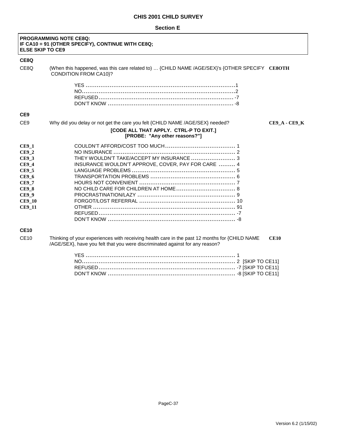#### **Section E**

 $\mathsf{r}$ 

| <b>ELSE SKIP TO CE9</b>                                                                                                                                  | <b>PROGRAMMING NOTE CE8Q:</b><br>IF CA10 = 91 (OTHER SPECIFY), CONTINUE WITH CE8Q;                                                                                            |                      |
|----------------------------------------------------------------------------------------------------------------------------------------------------------|-------------------------------------------------------------------------------------------------------------------------------------------------------------------------------|----------------------|
| CE8Q                                                                                                                                                     |                                                                                                                                                                               |                      |
| CE8Q                                                                                                                                                     | (When this happened, was this care related to)  {CHILD NAME /AGE/SEX}'s {OTHER SPECIFY CE8OTH<br><b>CONDITION FROM CA10}?</b>                                                 |                      |
|                                                                                                                                                          |                                                                                                                                                                               |                      |
| CE <sub>9</sub>                                                                                                                                          |                                                                                                                                                                               |                      |
| CE <sub>9</sub>                                                                                                                                          | Why did you delay or not get the care you felt {CHILD NAME /AGE/SEX} needed?                                                                                                  | <b>CE9_A - CE9_K</b> |
|                                                                                                                                                          | [CODE ALL THAT APPLY. CTRL-P TO EXIT.]<br>[PROBE: "Any other reasons?"]                                                                                                       |                      |
| <b>CE9 1</b><br><b>CE9_2</b><br>$CE9_3$<br>$CE9_4$<br><b>CE9_5</b><br><b>CE9_6</b><br><b>CE9 7</b><br><b>CE9 8</b><br>$CE9_9$<br><b>CE9_10</b><br>CE9_11 | THEY WOULDN'T TAKE/ACCEPT MY INSURANCE  3<br>INSURANCE WOULDN'T APPROVE, COVER, PAY FOR CARE  4                                                                               |                      |
| <b>CE10</b><br><b>CE10</b>                                                                                                                               | Thinking of your experiences with receiving health care in the past 12 months for {CHILD NAME<br>/AGE/SEX}, have you felt that you were discriminated against for any reason? | <b>CE10</b>          |
|                                                                                                                                                          |                                                                                                                                                                               |                      |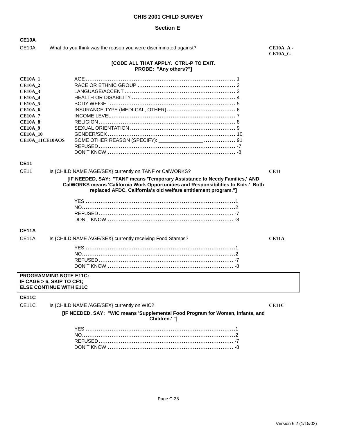#### **Section E**

**CE10A**

CE10A What do you think was the reason you were discriminated against? **CE10A\_A** -

**CE10A\_G** 

#### **[CODE ALL THAT APPLY. CTRL-P TO EXIT. PROBE: "Any others?"]**

#### **CE11**

CE11 Is {CHILD NAME /AGE/SEX} currently on TANF or CalWORKS? **CE11** 

#### **[IF NEEDED, SAY: "TANF means 'Temporary Assistance to Needy Families,' AND CalWORKS means 'California Work Opportunities and Responsibilities to Kids.' Both replaced AFDC, California's old welfare entitlement program."]**

#### **CE11A**

| CE11A Is {CHILD NAME /AGE/SEX} currently receiving Food Stamps? |  |
|-----------------------------------------------------------------|--|
|                                                                 |  |
|                                                                 |  |
|                                                                 |  |
|                                                                 |  |
|                                                                 |  |

#### **PROGRAMMING NOTE E11C: IF CAGE > 6, SKIP TO CF1; ELSE CONTINUE WITH E11C**

#### **CE11C**

CE11C Is {CHILD NAME /AGE/SEX} currently on WIC? **CE11C** CE11C

**[IF NEEDED, SAY: "WIC means 'Supplemental Food Program for Women, Infants, and Children.' "]**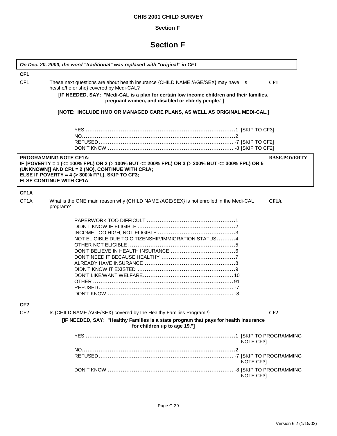## **Section F**

## **Section F**

 $\overline{\phantom{a}}$ 

|                                    | On Dec. 20, 2000, the word "traditional" was replaced with "original" in CF1                                                                                                                                                                                                 |                     |
|------------------------------------|------------------------------------------------------------------------------------------------------------------------------------------------------------------------------------------------------------------------------------------------------------------------------|---------------------|
| CF <sub>1</sub><br>CF <sub>1</sub> | These next questions are about health insurance {CHILD NAME /AGE/SEX} may have. Is                                                                                                                                                                                           | CF1                 |
|                                    | he/she/he or she} covered by Medi-CAL?                                                                                                                                                                                                                                       |                     |
|                                    | [IF NEEDED, SAY: "Medi-CAL is a plan for certain low income children and their families,<br>pregnant women, and disabled or elderly people."]                                                                                                                                |                     |
|                                    | [NOTE: INCLUDE HMO OR MANAGED CARE PLANS, AS WELL AS ORIGINAL MEDI-CAL.]                                                                                                                                                                                                     |                     |
|                                    |                                                                                                                                                                                                                                                                              |                     |
|                                    |                                                                                                                                                                                                                                                                              |                     |
|                                    |                                                                                                                                                                                                                                                                              |                     |
|                                    | <b>PROGRAMMING NOTE CF1A:</b><br>IF [POVERTY = 1 (<= 100% FPL) OR 2 (> 100% BUT <= 200% FPL) OR 3 (> 200% BUT <= 300% FPL) OR 5<br>(UNKNOWN)] AND CF1 = 2 (NO), CONTINUE WITH CF1A;<br>ELSE IF POVERTY = $4$ ( $>$ 300% FPL), SKIP TO CF3;<br><b>ELSE CONTINUE WITH CF1A</b> | <b>BASE.POVERTY</b> |
| CF <sub>1</sub> A                  |                                                                                                                                                                                                                                                                              |                     |
| CF <sub>1</sub> A                  | What is the ONE main reason why {CHILD NAME /AGE/SEX} is not enrolled in the Medi-CAL<br>program?                                                                                                                                                                            | CF1A                |
|                                    | NOT ELIGIBLE DUE TO CITIZENSHIP/IMMIGRATION STATUS4                                                                                                                                                                                                                          |                     |
| CF <sub>2</sub><br>CF <sub>2</sub> | Is {CHILD NAME /AGE/SEX} covered by the Healthy Families Program?}                                                                                                                                                                                                           | CF2                 |
|                                    | [IF NEEDED, SAY: "Healthy Families is a state program that pays for health insurance<br>for children up to age 19."]                                                                                                                                                         |                     |
|                                    |                                                                                                                                                                                                                                                                              | NOTE CF3            |
|                                    |                                                                                                                                                                                                                                                                              |                     |
|                                    |                                                                                                                                                                                                                                                                              | NOTE CF3            |
|                                    |                                                                                                                                                                                                                                                                              | NOTE CF3]           |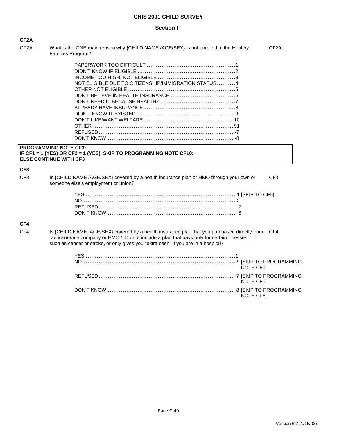#### **Section F**

CF2A What is the ONE main reason why {CHILD NAME /AGE/SEX} is not enrolled in the Healthy **CF2A** Families Program?

| NOT ELIGIBLE DUE TO CITIZENSHIP/IMMIGRATION STATUS4 |  |
|-----------------------------------------------------|--|
|                                                     |  |
|                                                     |  |
|                                                     |  |
|                                                     |  |
|                                                     |  |
|                                                     |  |
|                                                     |  |
|                                                     |  |
|                                                     |  |
|                                                     |  |

#### **PROGRAMMING NOTE CF3: IF CF1 = 1 (YES) OR CF2 = 1 (YES), SKIP TO PROGRAMMING NOTE CF10; ELSE CONTINUE WITH CF3**

### **CF3**

CF3 Is {CHILD NAME /AGE/SEX} covered by a health insurance plan or HMO through your own or **CF3** someone else's employment or union?

## **CF4**

CF4 Is {CHILD NAME /AGE/SEX} covered by a health insurance plan that you purchased directly from **CF4** an insurance company or HMO? Do not include a plan that pays only for certain illnesses, such as cancer or stroke, or only gives you "extra cash" if you are in a hospital?

| NOTE CF61 |
|-----------|
| NOTE CF61 |
| NOTE CF61 |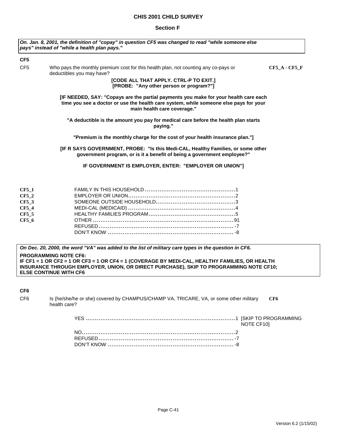#### **Section F**

|                 | On. Jan. 8, 2001, the definition of "copay" in question CF5 was changed to read "while someone else<br>pays" instead of "while a health plan pays."                                                                                                       |                 |
|-----------------|-----------------------------------------------------------------------------------------------------------------------------------------------------------------------------------------------------------------------------------------------------------|-----------------|
| CF5             |                                                                                                                                                                                                                                                           |                 |
| CF <sub>5</sub> | Who pays the monthly premium cost for this health plan, not counting any co-pays or<br>deductibles you may have?                                                                                                                                          | $CF5_A - CF5_F$ |
|                 | [CODE ALL THAT APPLY. CTRL-P TO EXIT.]<br>[PROBE: "Any other person or program?"]                                                                                                                                                                         |                 |
|                 | [IF NEEDED, SAY: "Copays are the partial payments you make for your health care each<br>time you see a doctor or use the health care system, while someone else pays for your<br>main health care coverage."                                              |                 |
|                 | "A deductible is the amount you pay for medical care before the health plan starts<br>paying."                                                                                                                                                            |                 |
|                 | "Premium is the monthly charge for the cost of your health insurance plan."]                                                                                                                                                                              |                 |
|                 | [IF R SAYS GOVERNMENT, PROBE: "Is this Medi-CAL, Healthy Families, or some other<br>government program, or is it a benefit of being a government employee?"                                                                                               |                 |
|                 | IF GOVERNMENT IS EMPLOYER, ENTER: "EMPLOYER OR UNION"]                                                                                                                                                                                                    |                 |
| <b>CF5 1</b>    |                                                                                                                                                                                                                                                           |                 |
| $CF5_2$         |                                                                                                                                                                                                                                                           |                 |
| $CF5_3$         |                                                                                                                                                                                                                                                           |                 |
| $CF5_4$         |                                                                                                                                                                                                                                                           |                 |
| <b>CF5_5</b>    |                                                                                                                                                                                                                                                           |                 |
| $CF5_6$         |                                                                                                                                                                                                                                                           |                 |
|                 |                                                                                                                                                                                                                                                           |                 |
|                 |                                                                                                                                                                                                                                                           |                 |
|                 | On Dec. 20, 2000, the word "VA" was added to the list of military care types in the question in CF6.                                                                                                                                                      |                 |
|                 | <b>PROGRAMMING NOTE CF6:</b><br>IF CF1 = 1 OR CF2 = 1 OR CF3 = 1 OR CF4 = 1 (COVERAGE BY MEDI-CAL, HEALTHY FAMILIES, OR HEALTH<br>INSURANCE THROUGH EMPLOYER, UNION, OR DIRECT PURCHASE), SKIP TO PROGRAMMING NOTE CF10;<br><b>ELSE CONTINUE WITH CF6</b> |                 |

**CF6**

| CF <sub>6</sub> | Is {he/she/he or she} covered by CHAMPUS/CHAMP VA, TRICARE, VA, or some other military | CF6 |
|-----------------|----------------------------------------------------------------------------------------|-----|
|                 | health care?                                                                           |     |

YES .................................................................................1 [SKIP TO PROGRAMMING NOTE CF10] NO...................................................................................2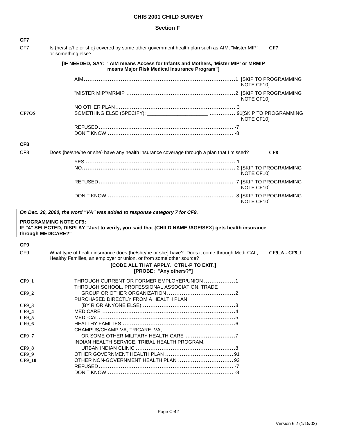| CF7                                |                                                                                                                                                                                          |
|------------------------------------|------------------------------------------------------------------------------------------------------------------------------------------------------------------------------------------|
| CF7                                | Is {he/she/he or she} covered by some other government health plan such as AIM, "Mister MIP",<br>CF7<br>or something else?                                                               |
|                                    | [IF NEEDED, SAY: "AIM means Access for Infants and Mothers, 'Mister MIP' or MRMIP<br>means Major Risk Medical Insurance Program"]                                                        |
|                                    | NOTE CF10]                                                                                                                                                                               |
|                                    | NOTE CF101                                                                                                                                                                               |
| <b>CF7OS</b>                       | NOTE CF10]                                                                                                                                                                               |
|                                    |                                                                                                                                                                                          |
| CF <sub>8</sub>                    |                                                                                                                                                                                          |
| CF <sub>8</sub>                    | Does {he/she/he or she} have any health insurance coverage through a plan that I missed?<br>CF8                                                                                          |
|                                    | NOTE CF10]                                                                                                                                                                               |
|                                    | NOTE CF10]                                                                                                                                                                               |
|                                    | NOTE CF10]                                                                                                                                                                               |
|                                    | On Dec. 20, 2000, the word "VA" was added to response category 7 for CF9.                                                                                                                |
|                                    |                                                                                                                                                                                          |
| through MEDICARE?"                 | <b>PROGRAMMING NOTE CF9:</b><br>IF "4" SELECTED, DISPLAY "Just to verify, you said that {CHILD NAME /AGE/SEX} gets health insurance                                                      |
|                                    |                                                                                                                                                                                          |
| CF <sub>9</sub><br>CF <sub>9</sub> | What type of health insurance does {he/she/he or she} have? Does it come through Medi-CAL,<br><b>CF9 A - CF9 I</b><br>Healthy Families, an employer or union, or from some other source? |
|                                    | [CODE ALL THAT APPLY. CTRL-P TO EXIT.]<br>[PROBE: "Any others?"]                                                                                                                         |
| $CF9_1$                            | THROUGH CURRENT OR FORMER EMPLOYER/UNION 1<br>THROUGH SCHOOL, PROFESSIONAL ASSOCIATION, TRADE                                                                                            |
| <b>CF9 2</b>                       | PURCHASED DIRECTLY FROM A HEALTH PLAN                                                                                                                                                    |
| $CF9_3$                            |                                                                                                                                                                                          |
| $CF9_4$                            |                                                                                                                                                                                          |
| CF9_5                              |                                                                                                                                                                                          |
| $CF9_6$                            | CHAMPUS/CHAMP-VA, TRICARE, VA,                                                                                                                                                           |
| $CF9_7$                            | INDIAN HEALTH SERVICE, TRIBAL HEALTH PROGRAM,                                                                                                                                            |
| $CF9_8$                            |                                                                                                                                                                                          |
| $CF9_9$                            |                                                                                                                                                                                          |
| <b>CF9_10</b>                      |                                                                                                                                                                                          |
|                                    |                                                                                                                                                                                          |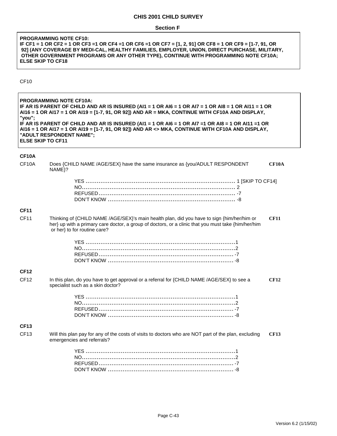#### **Section F**

#### **PROGRAMMING NOTE CF10: IF CF1 = 1 OR CF2 = 1 OR CF3 =1 OR CF4 =1 OR CF6 =1 OR CF7 = [1, 2, 91] OR CF8 = 1 OR CF9 = [1-7, 91, OR 92] (ANY COVERAGE BY MEDI-CAL, HEALTHY FAMILIES, EMPLOYER, UNION, DIRECT PURCHASE, MILITARY, OTHER GOVERNMENT PROGRAMS OR ANY OTHER TYPE), CONTINUE WITH PROGRAMMING NOTE CF10A; ELSE SKIP TO CF18**

#### CF10

**PROGRAMMING NOTE CF10A: IF AR IS PARENT OF CHILD AND AR IS INSURED (AI1 = 1 OR AI6 = 1 OR AI7 = 1 OR AI8 = 1 OR AI11 = 1 OR AI16 = 1 OR AI17 = 1 OR AI19 = [1-7, 91, OR 92]) AND AR = MKA, CONTINUE WITH CF10A AND DISPLAY, "you"; IF AR IS PARENT OF CHILD AND AR IS INSURED (AI1 = 1 OR AI6 = 1 OR AI7 =1 OR AI8 = 1 OR AI11 =1 OR AI16 = 1 OR AI17 = 1 OR AI19 = [1-7, 91, OR 92]) AND AR <> MKA, CONTINUE WITH CF10A AND DISPLAY, "ADULT RESPONDENT NAME"; ELSE SKIP TO CF11** 

#### **CF10A**

| CF10A            | Does {CHILD NAME /AGE/SEX} have the same insurance as {you/ADULT RESPONDENT<br>NAME}?                                                                                                                                             | CF10A       |
|------------------|-----------------------------------------------------------------------------------------------------------------------------------------------------------------------------------------------------------------------------------|-------------|
|                  |                                                                                                                                                                                                                                   |             |
| <b>CF11</b>      |                                                                                                                                                                                                                                   |             |
| <b>CF11</b>      | Thinking of {CHILD NAME /AGE/SEX}'s main health plan, did you have to sign {him/her/him or<br>her} up with a primary care doctor, a group of doctors, or a clinic that you must take {him/her/him<br>or her} to for routine care? | <b>CF11</b> |
|                  |                                                                                                                                                                                                                                   |             |
| <b>CF12</b>      |                                                                                                                                                                                                                                   |             |
| CF <sub>12</sub> | In this plan, do you have to get approval or a referral for {CHILD NAME /AGE/SEX} to see a<br>specialist such as a skin doctor?                                                                                                   | <b>CF12</b> |
|                  |                                                                                                                                                                                                                                   |             |
| <b>CF13</b>      |                                                                                                                                                                                                                                   |             |
| <b>CF13</b>      | Will this plan pay for any of the costs of visits to doctors who are NOT part of the plan, excluding<br>emergencies and referrals?                                                                                                | CF13        |
|                  |                                                                                                                                                                                                                                   |             |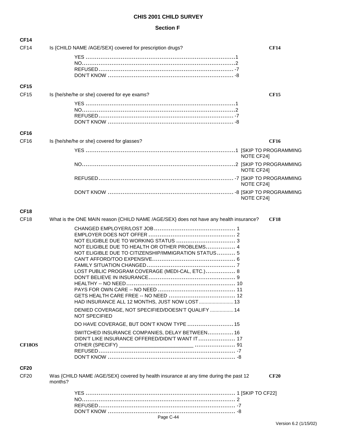| <b>CF14</b>      |                                                                                                                                                                                                                  |             |
|------------------|------------------------------------------------------------------------------------------------------------------------------------------------------------------------------------------------------------------|-------------|
| CF14             | Is {CHILD NAME /AGE/SEX} covered for prescription drugs?                                                                                                                                                         | <b>CF14</b> |
|                  |                                                                                                                                                                                                                  |             |
| <b>CF15</b>      |                                                                                                                                                                                                                  |             |
| CF <sub>15</sub> | Is {he/she/he or she} covered for eye exams?                                                                                                                                                                     | <b>CF15</b> |
| <b>CF16</b>      |                                                                                                                                                                                                                  |             |
| CF <sub>16</sub> | Is {he/she/he or she} covered for glasses?                                                                                                                                                                       | CF16        |
|                  |                                                                                                                                                                                                                  | NOTE CF24]  |
|                  |                                                                                                                                                                                                                  | NOTE CF24]  |
|                  |                                                                                                                                                                                                                  | NOTE CF24]  |
|                  |                                                                                                                                                                                                                  | NOTE CF24]  |
| CF <sub>18</sub> |                                                                                                                                                                                                                  |             |
| CF <sub>18</sub> | What is the ONE MAIN reason {CHILD NAME /AGE/SEX} does not have any health insurance?                                                                                                                            | <b>CF18</b> |
|                  | NOT ELIGIBLE DUE TO HEALTH OR OTHER PROBLEMS 4<br>NOT ELIGIBLE DUE TO CITIZENSHIP/IMMIGRATION STATUS 5<br>LOST PUBLIC PROGRAM COVERAGE (MEDI-CAL, ETC.) 8<br>10<br>HAD INSURANCE ALL 12 MONTHS, JUST NOW LOST 13 |             |
|                  | DENIED COVERAGE, NOT SPECIFIED/DOESN'T QUALIFY  14<br><b>NOT SPECIFIED</b>                                                                                                                                       |             |
|                  | DO HAVE COVERAGE, BUT DON'T KNOW TYPE  15                                                                                                                                                                        |             |
| <b>CF18OS</b>    | SWITCHED INSURANCE COMPANIES, DELAY BETWEEN 16<br>DIDN'T LIKE INSURANCE OFFERED/DIDN'T WANT IT 17                                                                                                                |             |
| <b>CF20</b>      |                                                                                                                                                                                                                  |             |
| <b>CF20</b>      | Was {CHILD NAME /AGE/SEX} covered by health insurance at any time during the past 12<br>months?                                                                                                                  | <b>CF20</b> |
|                  | Page C-44                                                                                                                                                                                                        |             |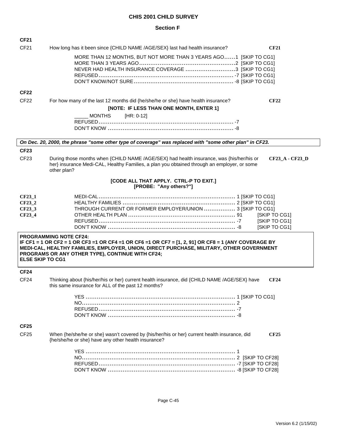| <b>CF21</b>                                   |                                                                                                                                                                                                                                                                                        |
|-----------------------------------------------|----------------------------------------------------------------------------------------------------------------------------------------------------------------------------------------------------------------------------------------------------------------------------------------|
| CF21                                          | How long has it been since {CHILD NAME /AGE/SEX} last had health insurance?<br><b>CF21</b>                                                                                                                                                                                             |
|                                               | MORE THAN 12 MONTHS, BUT NOT MORE THAN 3 YEARS AGO1 [SKIP TO CG1]<br>NEVER HAD HEALTH INSURANCE COVERAGE 3 [SKIP TO CG1]                                                                                                                                                               |
| <b>CF22</b>                                   |                                                                                                                                                                                                                                                                                        |
| CF <sub>22</sub>                              | For how many of the last 12 months did {he/she/he or she} have health insurance?<br><b>CF22</b>                                                                                                                                                                                        |
|                                               | [NOTE: IF LESS THAN ONE MONTH, ENTER 1]                                                                                                                                                                                                                                                |
|                                               | <b>MONTHS</b><br>$[HR: 0-12]$                                                                                                                                                                                                                                                          |
|                                               |                                                                                                                                                                                                                                                                                        |
|                                               | On Dec. 20, 2000, the phrase "some other type of coverage" was replaced with "some other plan" in CF23.                                                                                                                                                                                |
| <b>CF23</b>                                   |                                                                                                                                                                                                                                                                                        |
| CF <sub>23</sub>                              | During those months when {CHILD NAME /AGE/SEX} had health insurance, was {his/her/his or<br>CF23_A - CF23_D<br>her} insurance Medi-CAL, Healthy Families, a plan you obtained through an employer, or some<br>other plan?                                                              |
|                                               | [CODE ALL THAT APPLY. CTRL-P TO EXIT.]<br>[PROBE: "Any others?"]                                                                                                                                                                                                                       |
| $CF23_1$<br>CF23_2<br><b>CF23_3</b><br>CF23_4 | THROUGH CURRENT OR FORMER EMPLOYER/UNION  3 [SKIP TO CG1]<br>[SKIP TO CG1]<br>[SKIP TO CG1]<br>[SKIP TO CG1]                                                                                                                                                                           |
| <b>ELSE SKIP TO CG1</b>                       | <b>PROGRAMMING NOTE CF24:</b><br>IF CF1 = 1 OR CF2 = 1 OR CF3 =1 OR CF4 =1 OR CF6 =1 OR CF7 = $[1, 2, 91]$ OR CF8 = 1 (ANY COVERAGE BY<br>MEDI-CAL, HEALTHY FAMILIES, EMPLOYER, UNION, DIRECT PURCHASE, MILITARY, OTHER GOVERNMENT<br>PROGRAMS OR ANY OTHER TYPE), CONTINUE WITH CF24; |
| <b>CF24</b>                                   |                                                                                                                                                                                                                                                                                        |
| CF <sub>24</sub>                              | Thinking about {his/her/his or her} current health insurance, did {CHILD NAME /AGE/SEX} have<br><b>CF24</b><br>this same insurance for ALL of the past 12 months?                                                                                                                      |
|                                               |                                                                                                                                                                                                                                                                                        |
| <b>CF25</b>                                   |                                                                                                                                                                                                                                                                                        |
| CF <sub>25</sub>                              | When {he/she/he or she} wasn't covered by {his/her/his or her} current health insurance, did<br><b>CF25</b><br>{he/she/he or she} have any other health insurance?                                                                                                                     |
|                                               |                                                                                                                                                                                                                                                                                        |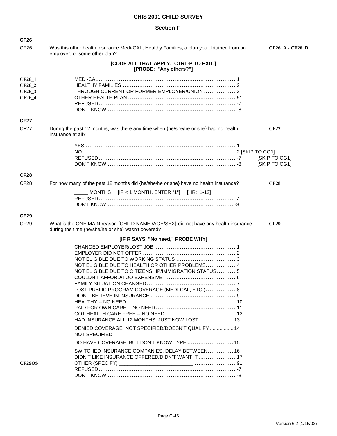| <b>CF26</b>                                 |                                                                                                                                                                                                                                        |                                |
|---------------------------------------------|----------------------------------------------------------------------------------------------------------------------------------------------------------------------------------------------------------------------------------------|--------------------------------|
| CF <sub>26</sub>                            | Was this other health insurance Medi-CAL, Healthy Families, a plan you obtained from an<br>employer, or some other plan?                                                                                                               | <b>CF26_A - CF26_D</b>         |
|                                             | [CODE ALL THAT APPLY. CTRL-P TO EXIT.]<br>[PROBE: "Any others?"]                                                                                                                                                                       |                                |
| <b>CF26 1</b><br>CF26_2<br>CF26_3<br>CF26_4 | THROUGH CURRENT OR FORMER EMPLOYER/UNION  3                                                                                                                                                                                            |                                |
| <b>CF27</b>                                 |                                                                                                                                                                                                                                        |                                |
| CF <sub>27</sub>                            | During the past 12 months, was there any time when {he/she/he or she} had no health<br>insurance at all?                                                                                                                               | <b>CF27</b>                    |
|                                             |                                                                                                                                                                                                                                        | [SKIP TO CG1]<br>[SKIP TO CG1] |
| <b>CF28</b>                                 |                                                                                                                                                                                                                                        |                                |
| CF <sub>28</sub>                            | For how many of the past 12 months did {he/she/he or she} have no health insurance?                                                                                                                                                    | <b>CF28</b>                    |
|                                             | MONTHS [IF < 1 MONTH, ENTER "1"] [HR: 1-12]                                                                                                                                                                                            |                                |
| <b>CF29</b>                                 |                                                                                                                                                                                                                                        |                                |
| CF <sub>29</sub>                            | What is the ONE MAIN reason {CHILD NAME /AGE/SEX} did not have any health insurance<br>during the time {he/she/he or she} wasn't covered?                                                                                              | <b>CF29</b>                    |
|                                             | [IF R SAYS, "No need," PROBE WHY]                                                                                                                                                                                                      |                                |
|                                             | NOT ELIGIBLE DUE TO HEALTH OR OTHER PROBLEMS 4<br>NOT ELIGIBLE DUE TO CITIZENSHIP/IMMIGRATION STATUS 5<br>FAMILY SITUATION CHANGED<br>LOST PUBLIC PROGRAM COVERAGE (MEDI-CAL, ETC.) 8<br>HAD INSURANCE ALL 12 MONTHS, JUST NOW LOST 13 |                                |
|                                             | DENIED COVERAGE, NOT SPECIFIED/DOESN'T QUALIFY  14<br><b>NOT SPECIFIED</b>                                                                                                                                                             |                                |
|                                             | DO HAVE COVERAGE, BUT DON'T KNOW TYPE  15                                                                                                                                                                                              |                                |
| <b>CF29OS</b>                               | SWITCHED INSURANCE COMPANIES, DELAY BETWEEN 16<br>DIDN'T LIKE INSURANCE OFFERED/DIDN'T WANT IT 17                                                                                                                                      |                                |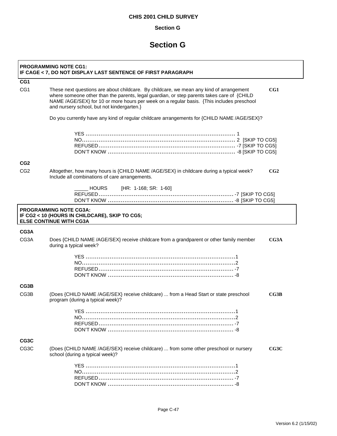## **Section G**

## **Section G**

|                   | <b>PROGRAMMING NOTE CG1:</b><br>IF CAGE < 7, DO NOT DISPLAY LAST SENTENCE OF FIRST PARAGRAPH                                                                                                                                                                                                                                            |
|-------------------|-----------------------------------------------------------------------------------------------------------------------------------------------------------------------------------------------------------------------------------------------------------------------------------------------------------------------------------------|
| CG1               |                                                                                                                                                                                                                                                                                                                                         |
| CG <sub>1</sub>   | These next questions are about childcare. By childcare, we mean any kind of arrangement<br>CG1<br>where someone other than the parents, legal guardian, or step parents takes care of {CHILD<br>NAME /AGE/SEX} for 10 or more hours per week on a regular basis. {This includes preschool<br>and nursery school, but not kindergarten.} |
|                   | Do you currently have any kind of regular childcare arrangements for {CHILD NAME /AGE/SEX}?                                                                                                                                                                                                                                             |
|                   |                                                                                                                                                                                                                                                                                                                                         |
| CG <sub>2</sub>   |                                                                                                                                                                                                                                                                                                                                         |
| CG <sub>2</sub>   | Altogether, how many hours is {CHILD NAME /AGE/SEX} in childcare during a typical week?<br>CG2<br>Include all combinations of care arrangements.                                                                                                                                                                                        |
|                   | [HR: 1-168; SR: 1-60]<br>HOURS                                                                                                                                                                                                                                                                                                          |
|                   | <b>PROGRAMMING NOTE CG3A:</b><br>IF CG2 < 10 (HOURS IN CHILDCARE), SKIP TO CG5;<br><b>ELSE CONTINUE WITH CG3A</b>                                                                                                                                                                                                                       |
| CG3A              |                                                                                                                                                                                                                                                                                                                                         |
| CG3A              | Does {CHILD NAME /AGE/SEX} receive childcare from a grandparent or other family member<br>CG3A<br>during a typical week?                                                                                                                                                                                                                |
|                   |                                                                                                                                                                                                                                                                                                                                         |
| CG3B              |                                                                                                                                                                                                                                                                                                                                         |
| CG3B              | (Does {CHILD NAME /AGE/SEX} receive childcare)  from a Head Start or state preschool<br>CG3B<br>program (during a typical week)?                                                                                                                                                                                                        |
|                   |                                                                                                                                                                                                                                                                                                                                         |
| CG3C              |                                                                                                                                                                                                                                                                                                                                         |
| CG <sub>3</sub> C | (Does {CHILD NAME /AGE/SEX} receive childcare)  from some other preschool or nursery<br>CG3C<br>school (during a typical week)?                                                                                                                                                                                                         |
|                   |                                                                                                                                                                                                                                                                                                                                         |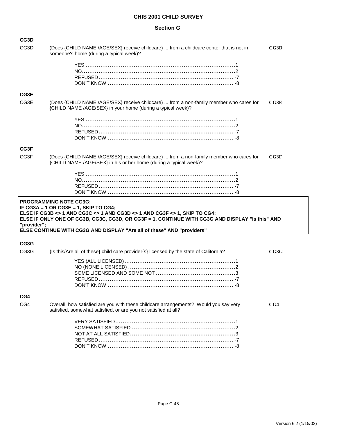#### **Section G**

| CG3D              |                                                                                                                                                                                                                                                                                                                                  |      |
|-------------------|----------------------------------------------------------------------------------------------------------------------------------------------------------------------------------------------------------------------------------------------------------------------------------------------------------------------------------|------|
| CG <sub>3</sub> D | (Does {CHILD NAME /AGE/SEX} receive childcare)  from a childcare center that is not in<br>someone's home (during a typical week)?                                                                                                                                                                                                | CG3D |
|                   |                                                                                                                                                                                                                                                                                                                                  |      |
| CG3E              |                                                                                                                                                                                                                                                                                                                                  |      |
| CG3E              | (Does {CHILD NAME /AGE/SEX} receive childcare)  from a non-family member who cares for<br>{CHILD NAME /AGE/SEX} in your home (during a typical week)?                                                                                                                                                                            | CG3E |
|                   |                                                                                                                                                                                                                                                                                                                                  |      |
| CG3F              |                                                                                                                                                                                                                                                                                                                                  |      |
| CG <sub>3</sub> F | (Does {CHILD NAME /AGE/SEX} receive childcare)  from a non-family member who cares for<br>{CHILD NAME /AGE/SEX} in his or her home (during a typical week)?                                                                                                                                                                      | CG3F |
|                   |                                                                                                                                                                                                                                                                                                                                  |      |
| "provider";       | <b>PROGRAMMING NOTE CG3G:</b><br>IF CG3A = 1 OR CG3E = 1, SKIP TO CG4;<br>ELSE IF CG3B <> 1 AND CG3C <> 1 AND CG3D <> 1 AND CG3F <> 1, SKIP TO CG4;<br>ELSE IF ONLY ONE OF CG3B, CG3C, CG3D, OR CG3F = 1, CONTINUE WITH CG3G AND DISPLAY "Is this" AND<br>ELSE CONTINUE WITH CG3G AND DISPLAY "Are all of these" AND "providers" |      |
| CG3G              |                                                                                                                                                                                                                                                                                                                                  |      |
| CG <sub>3</sub> G | {Is this/Are all of these} child care provider{s} licensed by the state of California?                                                                                                                                                                                                                                           | CG3G |
|                   |                                                                                                                                                                                                                                                                                                                                  |      |
| CG4               |                                                                                                                                                                                                                                                                                                                                  |      |
| CG4               | Overall, how satisfied are you with these childcare arrangements? Would you say very<br>satisfied, somewhat satisfied, or are you not satisfied at all?                                                                                                                                                                          | CG4  |
|                   |                                                                                                                                                                                                                                                                                                                                  |      |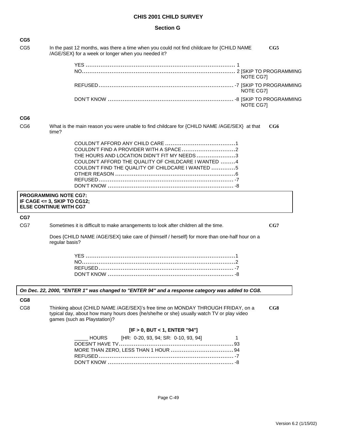#### **Section G**

| CG5             |                                                                                                                                                                                                             |     |
|-----------------|-------------------------------------------------------------------------------------------------------------------------------------------------------------------------------------------------------------|-----|
| CG <sub>5</sub> | In the past 12 months, was there a time when you could not find childcare for {CHILD NAME<br>/AGE/SEX} for a week or longer when you needed it?                                                             | CG5 |
|                 |                                                                                                                                                                                                             |     |
|                 | NOTE CG7]                                                                                                                                                                                                   |     |
|                 | NOTE CG7]                                                                                                                                                                                                   |     |
|                 | NOTE CG7]                                                                                                                                                                                                   |     |
| CG6             |                                                                                                                                                                                                             |     |
| CG <sub>6</sub> | What is the main reason you were unable to find childcare for {CHILD NAME /AGE/SEX} at that<br>time?                                                                                                        | CG6 |
|                 | THE HOURS AND LOCATION DIDN'T FIT MY NEEDS 3<br>COULDN'T AFFORD THE QUALITY OF CHILDCARE I WANTED 4<br>COULDN'T FIND THE QUALITY OF CHILDCARE I WANTED 5                                                    |     |
|                 | <b>PROGRAMMING NOTE CG7:</b>                                                                                                                                                                                |     |
|                 | IF CAGE <= 3, SKIP TO CG12;<br><b>ELSE CONTINUE WITH CG7</b>                                                                                                                                                |     |
| CG7             |                                                                                                                                                                                                             |     |
| CG7             | Sometimes it is difficult to make arrangements to look after children all the time.                                                                                                                         | CG7 |
|                 | Does {CHILD NAME /AGE/SEX} take care of {himself / herself} for more than one-half hour on a<br>regular basis?                                                                                              |     |
|                 |                                                                                                                                                                                                             |     |
|                 |                                                                                                                                                                                                             |     |
|                 |                                                                                                                                                                                                             |     |
|                 |                                                                                                                                                                                                             |     |
|                 | On Dec. 22, 2000, "ENTER 1" was changed to "ENTER 94" and a response category was added to CG8.                                                                                                             |     |
| CG8             |                                                                                                                                                                                                             |     |
| CG8             | Thinking about {CHILD NAME /AGE/SEX}'s free time on MONDAY THROUGH FRIDAY, on a<br>typical day, about how many hours does {he/she/he or she} usually watch TV or play video<br>games (such as Playstation)? | CG8 |
|                 | [IF > 0, BUT < 1, ENTER "94"]                                                                                                                                                                               |     |
|                 | [HR: 0-20, 93, 94; SR: 0-10, 93, 94]<br><b>HOURS</b><br>1                                                                                                                                                   |     |
|                 |                                                                                                                                                                                                             |     |
|                 |                                                                                                                                                                                                             |     |
|                 |                                                                                                                                                                                                             |     |
|                 |                                                                                                                                                                                                             |     |
|                 |                                                                                                                                                                                                             |     |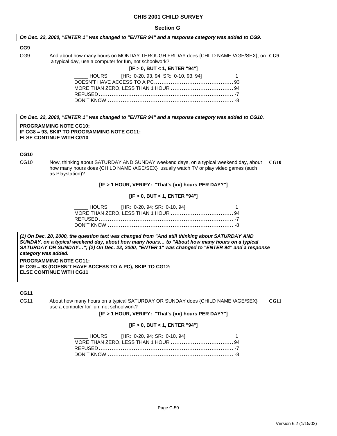#### **Section G**

#### *On Dec. 22, 2000, "ENTER 1" was changed to "ENTER 94" and a response category was added to CG9.*

#### **CG9**

CG9 And about how many hours on MONDAY THROUGH FRIDAY does {CHILD NAME /AGE/SEX}, on **CG9** a typical day, use a computer for fun, not schoolwork?

#### **[IF > 0, BUT < 1, ENTER "94"]**

| LAST FINE: 0-20, 93, 94; SR: 0-10, 93, 94] |  |
|--------------------------------------------|--|
|                                            |  |
|                                            |  |
|                                            |  |
|                                            |  |

*On Dec. 22, 2000, "ENTER 1" was changed to "ENTER 94" and a response category was added to CG10.*

**PROGRAMMING NOTE CG10: IF CG8 = 93, SKIP TO PROGRAMMING NOTE CG11; ELSE CONTINUE WITH CG10** 

## **CG10**

CG10 Now, thinking about SATURDAY AND SUNDAY weekend days, on a typical weekend day, about **CG10** how many hours does {CHILD NAME /AGE/SEX} usually watch TV or play video games (such as Playstation)?

#### **[IF > 1 HOUR, VERIFY: "That's {xx} hours PER DAY?"]**

#### **[IF > 0, BUT < 1, ENTER "94"]**

| ______ HOURS [HR: 0-20, 94; SR: 0-10, 94]<br>$\sim$ 1 |  |
|-------------------------------------------------------|--|
|                                                       |  |
|                                                       |  |
|                                                       |  |

*(1) On Dec. 20, 2000, the question text was changed from "And still thinking about SATURDAY AND SUNDAY, on a typical weekend day, about how many hours… to "About how many hours on a typical SATURDAY OR SUNDAY…"; (2) On Dec. 22, 2000, "ENTER 1" was changed to "ENTER 94" and a response category was added.* **PROGRAMMING NOTE CG11: IF CG9 = 93 (DOESN'T HAVE ACCESS TO A PC), SKIP TO CG12;** 

## **CG11**

**ELSE CONTINUE WITH CG11** 

CG11 About how many hours on a typical SATURDAY OR SUNDAY does {CHILD NAME /AGE/SEX} **CG11** use a computer for fun, not schoolwork?

#### **[IF > 1 HOUR, VERIFY: "That's {xx} hours PER DAY?"]**

#### **[IF > 0, BUT < 1, ENTER "94"]**

| LACK FIR: 0-20, 94; SR: 0-10, 94] |  |  | $\overline{\phantom{1}}$ |
|-----------------------------------|--|--|--------------------------|
|                                   |  |  |                          |
|                                   |  |  |                          |
|                                   |  |  |                          |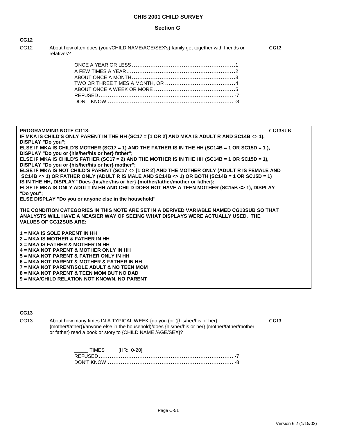#### **Section G**

| I<br>w<br>v<br>۰, |  |
|-------------------|--|
|-------------------|--|

CG12 About how often does (your/CHILD NAME/AGE/SEX's) family get together with friends or **CG12** relatives?

| <b>PROGRAMMING NOTE CG13:</b>                                                                                                                                                                  | <b>CG13SUB</b> |
|------------------------------------------------------------------------------------------------------------------------------------------------------------------------------------------------|----------------|
| IF MKA IS CHILD'S ONLY PARENT IN THE HH (SC17 = [1 OR 2] AND MKA IS ADULT R AND SC14B <> 1),                                                                                                   |                |
| <b>DISPLAY "Do vou":</b>                                                                                                                                                                       |                |
| ELSE IF MKA IS CHILD'S MOTHER (SC17 = 1) AND THE FATHER IS IN THE HH (SC14B = 1 OR SC15D = 1),                                                                                                 |                |
| DISPLAY "Do you or {his/her/his or her} father";                                                                                                                                               |                |
| ELSE IF MKA IS CHILD'S FATHER (SC17 = 2) AND THE MOTHER IS IN THE HH (SC14B = 1 OR SC15D = 1),                                                                                                 |                |
| DISPLAY "Do you or {his/her/his or her} mother";                                                                                                                                               |                |
| ELSE IF MKA IS NOT CHILD'S PARENT (SC17 <> [1 OR 2] AND THE MOTHER ONLY (ADULT R IS FEMALE AND<br>SC14B <> 1) OR FATHER ONLY (ADULT R IS MALE AND SC14B <> 1) OR BOTH (SC14B = 1 OR SC15D = 1) |                |
| IS IN THE HH, DISPLAY "Does {his/her/his or her} {mother/father/mother or father};                                                                                                             |                |
| ELSE IF MKA IS ONLY ADULT IN HH AND CHILD DOES NOT HAVE A TEEN MOTHER (SC15B <> 1), DISPLAY                                                                                                    |                |
| "Do you":                                                                                                                                                                                      |                |
| ELSE DISPLAY "Do you or anyone else in the household"                                                                                                                                          |                |
|                                                                                                                                                                                                |                |
| THE CONDITION CATEGORIES IN THIS NOTE ARE SET IN A DERIVED VARIABLE NAMED CG13SUB SO THAT                                                                                                      |                |
| ANALYSTS WILL HAVE A NEASIER WAY OF SEEING WHAT DISPLAYS WERE ACTUALLY USED. THE                                                                                                               |                |
| <b>VALUES OF CG12SUB ARE:</b>                                                                                                                                                                  |                |
| $1 = MKA$ IS SOLE PARENT IN HH                                                                                                                                                                 |                |
| $2 = MKA$ IS MOTHER & FATHER IN HH                                                                                                                                                             |                |
| $3 = MKA$ IS FATHER & MOTHER IN HH                                                                                                                                                             |                |
| 4 = MKA NOT PARENT & MOTHER ONLY IN HH                                                                                                                                                         |                |
| 5 = MKA NOT PARENT & FATHER ONLY IN HH                                                                                                                                                         |                |
| $6 = MKA NOT PARENT & MOTHER & FATHER IN HH$                                                                                                                                                   |                |
| 7 = MKA NOT PARENT/SOLE ADULT & NO TEEN MOM                                                                                                                                                    |                |
| 8 = MKA NOT PARENT & TEEN MOM BUT NO DAD                                                                                                                                                       |                |
| 9 = MKA/CHILD RELATION NOT KNOWN, NO PARENT                                                                                                                                                    |                |
|                                                                                                                                                                                                |                |

**CG13**

CG13 About how many times IN A TYPICAL WEEK {do you (or ({his/her/his or her}  $CG13$  {mother/father})/anyone else in the household)/does {his/her/his or her} {mother/father/mother or father} read a book or story to {CHILD NAME /AGE/SEX}?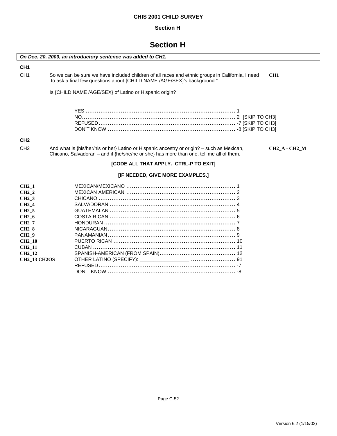## **Section H**

## **Section H**

| On Dec. 20, 2000, an introductory sentence was added to CH1.                                                                                                                                                                               |                                                                                                                                                                                                               |
|--------------------------------------------------------------------------------------------------------------------------------------------------------------------------------------------------------------------------------------------|---------------------------------------------------------------------------------------------------------------------------------------------------------------------------------------------------------------|
| CH <sub>1</sub>                                                                                                                                                                                                                            |                                                                                                                                                                                                               |
| CH <sub>1</sub>                                                                                                                                                                                                                            | So we can be sure we have included children of all races and ethnic groups in California, I need<br>CH <sub>1</sub><br>to ask a final few questions about {CHILD NAME /AGE/SEX}'s background."                |
|                                                                                                                                                                                                                                            | Is {CHILD NAME /AGE/SEX} of Latino or Hispanic origin?                                                                                                                                                        |
|                                                                                                                                                                                                                                            |                                                                                                                                                                                                               |
| CH <sub>2</sub>                                                                                                                                                                                                                            |                                                                                                                                                                                                               |
| CH <sub>2</sub>                                                                                                                                                                                                                            | And what is {his/her/his or her} Latino or Hispanic ancestry or origin? - such as Mexican,<br><b>CH2_A - CH2_M</b><br>Chicano, Salvadoran – and if {he/she/he or she} has more than one, tell me all of them. |
|                                                                                                                                                                                                                                            | [CODE ALL THAT APPLY. CTRL-P TO EXIT]                                                                                                                                                                         |
|                                                                                                                                                                                                                                            | [IF NEEDED, GIVE MORE EXAMPLES.]                                                                                                                                                                              |
| <b>CH2 1</b><br><b>CH2 2</b><br><b>CH2 3</b><br>CH <sub>2</sub> 4<br>CH <sub>2</sub> 5<br>CH <sub>2</sub> 6<br>CH <sub>2</sub> 7<br><b>CH2 8</b><br><b>CH2</b> 9<br><b>CH2 10</b><br><b>CH2 11</b><br><b>CH2 12</b><br><b>CH2 13 CH2OS</b> |                                                                                                                                                                                                               |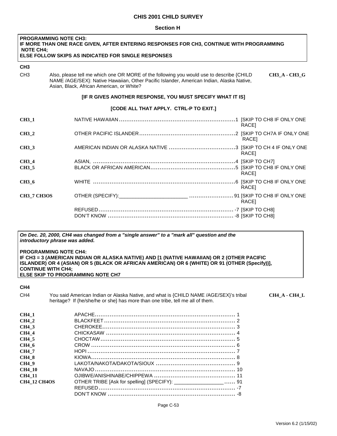#### **Section H**

| <b>PROGRAMMING NOTE CH3:</b><br>IF MORE THAN ONE RACE GIVEN, AFTER ENTERING RESPONSES FOR CH3, CONTINUE WITH PROGRAMMING<br><b>NOTE CH4:</b><br><b>ELSE FOLLOW SKIPS AS INDICATED FOR SINGLE RESPONSES</b> |                                                                                                                                                                                                                                                           |
|------------------------------------------------------------------------------------------------------------------------------------------------------------------------------------------------------------|-----------------------------------------------------------------------------------------------------------------------------------------------------------------------------------------------------------------------------------------------------------|
| CH <sub>3</sub>                                                                                                                                                                                            |                                                                                                                                                                                                                                                           |
| CH <sub>3</sub>                                                                                                                                                                                            | Also, please tell me which one OR MORE of the following you would use to describe {CHILD<br><b>CH3 A - CH3 G</b><br>NAME /AGE/SEX}: Native Hawaiian, Other Pacific Islander, American Indian, Alaska Native,<br>Asian, Black, African American, or White? |
|                                                                                                                                                                                                            | [IF R GIVES ANOTHER RESPONSE, YOU MUST SPECIFY WHAT IT IS]                                                                                                                                                                                                |
|                                                                                                                                                                                                            | [CODE ALL THAT APPLY. CTRL-P TO EXIT.]                                                                                                                                                                                                                    |
| <b>CH3 1</b>                                                                                                                                                                                               | RACE]                                                                                                                                                                                                                                                     |
| CH <sub>3</sub> 2                                                                                                                                                                                          | RACE]                                                                                                                                                                                                                                                     |
| CH <sub>3</sub> 3                                                                                                                                                                                          | RACE <sub>1</sub>                                                                                                                                                                                                                                         |
| CH <sub>3</sub> 4                                                                                                                                                                                          |                                                                                                                                                                                                                                                           |
| CH <sub>3</sub> 5                                                                                                                                                                                          | RACE1                                                                                                                                                                                                                                                     |
| CH <sub>3</sub> 6                                                                                                                                                                                          | RACE1                                                                                                                                                                                                                                                     |
| <b>CH3_7 CH3OS</b>                                                                                                                                                                                         | RACE <sub>1</sub>                                                                                                                                                                                                                                         |
|                                                                                                                                                                                                            |                                                                                                                                                                                                                                                           |

#### *On Dec. 20, 2000, CH4 was changed from a "single answer" to a "mark all" question and the introductory phrase was added.*

#### **PROGRAMMING NOTE CH4: IF CH3 = 3 (AMERICAN INDIAN OR ALASKA NATIVE) AND [1 (NATIVE HAWAIIAN) OR 2 (OTHER PACIFIC**  ISLANDER) OR 4 (ASIAN) OR 5 (BLACK OR AFRICAN AMERICAN) OR 6 (WHITE) OR 91 (OTHER (Specify))], **CONTINUE WITH CH4; ELSE SKIP TO PROGRAMMING NOTE CH7**

#### **CH4**

| CH <sub>4</sub>     | You said American Indian or Alaska Native, and what is {CHILD NAME /AGE/SEX}'s tribal<br>heritage? If {he/she/he or she} has more than one tribe, tell me all of them. |
|---------------------|------------------------------------------------------------------------------------------------------------------------------------------------------------------------|
| CH4 1               |                                                                                                                                                                        |
| <b>CH4 2</b>        |                                                                                                                                                                        |
| <b>CH4 3</b>        |                                                                                                                                                                        |
| CH4 4               |                                                                                                                                                                        |
| CH4 5               |                                                                                                                                                                        |
| CH4 6               |                                                                                                                                                                        |
| CH4 7               |                                                                                                                                                                        |
| <b>CH4 8</b>        |                                                                                                                                                                        |
| <b>CH4</b> 9        |                                                                                                                                                                        |
| <b>CH4 10</b>       |                                                                                                                                                                        |
| <b>CH4 11</b>       |                                                                                                                                                                        |
| <b>CH4 12 CH4OS</b> | OTHER TRIBE [Ask for spelling] (SPECIFY): ____________________ 91                                                                                                      |
|                     |                                                                                                                                                                        |
|                     |                                                                                                                                                                        |

CH4\_A - CH4\_L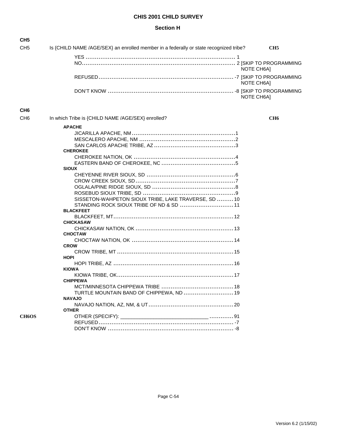### **Section H**

| CH <sub>5</sub>                |                                                                                       |                 |
|--------------------------------|---------------------------------------------------------------------------------------|-----------------|
| CH <sub>5</sub>                | Is {CHILD NAME /AGE/SEX} an enrolled member in a federally or state recognized tribe? | CH <sub>5</sub> |
|                                |                                                                                       |                 |
|                                |                                                                                       | NOTE CH6A]      |
|                                |                                                                                       | NOTE CH6A]      |
|                                |                                                                                       | NOTE CH6A]      |
| CH <sub>6</sub>                |                                                                                       |                 |
| CH <sub>6</sub>                | In which Tribe is {CHILD NAME /AGE/SEX} enrolled?                                     | CH <sub>6</sub> |
|                                | <b>APACHE</b>                                                                         |                 |
|                                |                                                                                       |                 |
|                                |                                                                                       |                 |
|                                |                                                                                       |                 |
|                                | <b>CHEROKEE</b>                                                                       |                 |
|                                |                                                                                       |                 |
|                                |                                                                                       |                 |
|                                | <b>SIOUX</b>                                                                          |                 |
|                                |                                                                                       |                 |
|                                |                                                                                       |                 |
|                                |                                                                                       |                 |
|                                |                                                                                       |                 |
|                                | SISSETON-WAHPETON SIOUX TRIBE, LAKE TRAVERSE, SD  10                                  |                 |
|                                | STANDING ROCK SIOUX TRIBE OF ND & SD  11                                              |                 |
|                                | <b>BLACKFEET</b>                                                                      |                 |
|                                |                                                                                       |                 |
|                                | <b>CHICKASAW</b>                                                                      |                 |
|                                |                                                                                       |                 |
|                                | <b>CHOCTAW</b>                                                                        |                 |
|                                |                                                                                       |                 |
|                                | <b>CROW</b>                                                                           |                 |
|                                |                                                                                       |                 |
|                                | <b>HOPI</b>                                                                           |                 |
|                                |                                                                                       |                 |
|                                | <b>KIOWA</b>                                                                          |                 |
|                                |                                                                                       |                 |
|                                | <b>CHIPPEWA</b>                                                                       |                 |
|                                |                                                                                       |                 |
|                                | TURTLE MOUNTAIN BAND OF CHIPPEWA, ND  19                                              |                 |
|                                | <b>NAVAJO</b>                                                                         |                 |
|                                |                                                                                       |                 |
|                                | <b>OTHER</b>                                                                          |                 |
| CH <sub>6</sub> O <sub>S</sub> |                                                                                       |                 |
|                                |                                                                                       |                 |
|                                |                                                                                       |                 |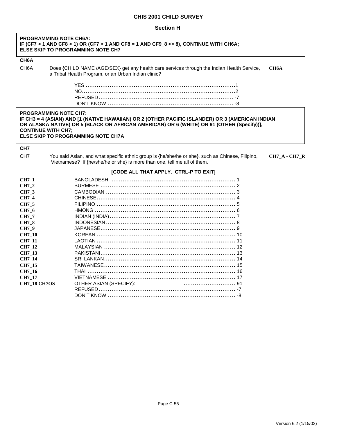| PROGRAMMING NOTE CH6A:<br>IF (CF7 > 1 AND CF8 > 1) OR (CF7 > 1 AND CF8 = 1 AND CF9_8 <> 8), CONTINUE WITH CH6A;<br>ELSE SKIP TO PROGRAMMING NOTE CH7                                                                                                                                            |                                                                                                                                                                                                   |  |
|-------------------------------------------------------------------------------------------------------------------------------------------------------------------------------------------------------------------------------------------------------------------------------------------------|---------------------------------------------------------------------------------------------------------------------------------------------------------------------------------------------------|--|
| CH <sub>6</sub> A                                                                                                                                                                                                                                                                               |                                                                                                                                                                                                   |  |
| CH <sub>6</sub> A                                                                                                                                                                                                                                                                               | Does {CHILD NAME /AGE/SEX} get any health care services through the Indian Health Service,<br>CH <sub>6</sub> A<br>a Tribal Health Program, or an Urban Indian clinic?                            |  |
|                                                                                                                                                                                                                                                                                                 |                                                                                                                                                                                                   |  |
| <b>PROGRAMMING NOTE CH7:</b><br>IF CH3 = 4 (ASIAN) AND [1 (NATIVE HAWAIIAN) OR 2 (OTHER PACIFIC ISLANDER) OR 3 (AMERICAN INDIAN<br>OR ALASKA NATIVE) OR 5 (BLACK OR AFRICAN AMERICAN) OR 6 (WHITE) OR 91 (OTHER (Specify))],<br><b>CONTINUE WITH CH7;</b><br>ELSE SKIP TO PROGRAMMING NOTE CH7A |                                                                                                                                                                                                   |  |
| CH7                                                                                                                                                                                                                                                                                             |                                                                                                                                                                                                   |  |
| CH <sub>7</sub>                                                                                                                                                                                                                                                                                 | You said Asian, and what specific ethnic group is {he/she/he or she}, such as Chinese, Filipino,<br>$CH7_A$ - $CH7_R$<br>Vietnamese? If {he/she/he or she} is more than one, tell me all of them. |  |
|                                                                                                                                                                                                                                                                                                 | [CODE ALL THAT APPLY. CTRL-P TO EXIT]                                                                                                                                                             |  |
| CH7_1                                                                                                                                                                                                                                                                                           |                                                                                                                                                                                                   |  |
| CH7_2                                                                                                                                                                                                                                                                                           |                                                                                                                                                                                                   |  |
| CH7_3                                                                                                                                                                                                                                                                                           |                                                                                                                                                                                                   |  |
| CH7_4                                                                                                                                                                                                                                                                                           |                                                                                                                                                                                                   |  |
| CH7_5                                                                                                                                                                                                                                                                                           |                                                                                                                                                                                                   |  |
| CH7 6                                                                                                                                                                                                                                                                                           |                                                                                                                                                                                                   |  |
| CH7_7                                                                                                                                                                                                                                                                                           |                                                                                                                                                                                                   |  |
| <b>CH7_8</b>                                                                                                                                                                                                                                                                                    |                                                                                                                                                                                                   |  |
| CH7_9                                                                                                                                                                                                                                                                                           |                                                                                                                                                                                                   |  |
| CH7_10                                                                                                                                                                                                                                                                                          |                                                                                                                                                                                                   |  |
| <b>CH7_11</b>                                                                                                                                                                                                                                                                                   |                                                                                                                                                                                                   |  |
| CH7_12<br>CH7_13                                                                                                                                                                                                                                                                                |                                                                                                                                                                                                   |  |
| CH7_14                                                                                                                                                                                                                                                                                          |                                                                                                                                                                                                   |  |
| CH7_15                                                                                                                                                                                                                                                                                          |                                                                                                                                                                                                   |  |
| CH7_16                                                                                                                                                                                                                                                                                          |                                                                                                                                                                                                   |  |
| <b>CH7_17</b>                                                                                                                                                                                                                                                                                   |                                                                                                                                                                                                   |  |
| <b>CH7_18 CH7OS</b>                                                                                                                                                                                                                                                                             |                                                                                                                                                                                                   |  |
|                                                                                                                                                                                                                                                                                                 |                                                                                                                                                                                                   |  |
|                                                                                                                                                                                                                                                                                                 |                                                                                                                                                                                                   |  |

٦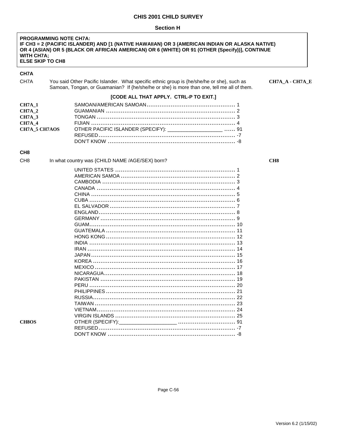#### **Section H**

#### **PROGRAMMING NOTE CH7A:** IF CH3 = 2 (PACIFIC ISLANDER) AND [1 (NATIVE HAWAIIAN) OR 3 (AMERICAN INDIAN OR ALASKA NATIVE) OR 4 (ASIAN) OR 5 (BLACK OR AFRICAN AMERICAN) OR 6 (WHITE) OR 91 (OTHER (Specify))], CONTINUE **WITH CH7A: ELSE SKIP TO CH8**

## CH7A

CH7A You said Other Pacific Islander. What specific ethnic group is {he/she/he or she}, such as Samoan, Tongan, or Guamanian? If {he/she/he or she} is more than one, tell me all of them. CH7A\_A - CH7A\_E

CH<sub>8</sub>

#### [CODE ALL THAT APPLY. CTRL-P TO EXIT.]

| <b>CH7A 2</b> |                                                                                |  |
|---------------|--------------------------------------------------------------------------------|--|
| <b>CH7A 3</b> |                                                                                |  |
| <b>CH7A 4</b> |                                                                                |  |
|               | CH7A_5 CH7AOS OTHER PACIFIC ISLANDER (SPECIFY): __________________________  91 |  |
|               |                                                                                |  |
|               |                                                                                |  |
|               |                                                                                |  |

#### CH<sub>8</sub>

CH<sub>8</sub>O<sub>S</sub>

CH<sub>8</sub> In what country was {CHILD NAME /AGE/SEX} born?

#### OTHER (SPECIFY):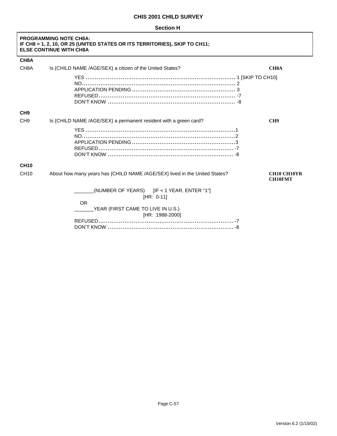#### **Section H**

| <b>PROGRAMMING NOTE CH8A:</b><br>IF CH8 = 1, 2, 10, OR 25 (UNITED STATES OR ITS TERRITORIES), SKIP TO CH11;<br><b>ELSE CONTINUE WITH CH8A</b> |                                                                                                                                    |                                      |
|-----------------------------------------------------------------------------------------------------------------------------------------------|------------------------------------------------------------------------------------------------------------------------------------|--------------------------------------|
| CH <sub>8</sub> A                                                                                                                             |                                                                                                                                    |                                      |
| CH <sub>8</sub> A                                                                                                                             | Is {CHILD NAME /AGE/SEX} a citizen of the United States?                                                                           | <b>CH8A</b>                          |
|                                                                                                                                               |                                                                                                                                    |                                      |
| CH <sub>9</sub>                                                                                                                               |                                                                                                                                    |                                      |
| CH <sub>9</sub>                                                                                                                               | Is {CHILD NAME /AGE/SEX} a permanent resident with a green card?                                                                   | CH <sub>9</sub>                      |
|                                                                                                                                               |                                                                                                                                    |                                      |
| <b>CH10</b>                                                                                                                                   |                                                                                                                                    |                                      |
| <b>CH10</b>                                                                                                                                   | About how many years has {CHILD NAME /AGE/SEX} lived in the United States?                                                         | <b>CH10 CH10YR</b><br><b>CH10FMT</b> |
|                                                                                                                                               | (NUMBER OF YEARS) $[IF < 1$ YEAR, ENTER "1"]<br>[HR: $0-11$ ]<br><b>OR</b><br>YEAR (FIRST CAME TO LIVE IN U.S.)<br>[HR: 1988-2000] |                                      |

┑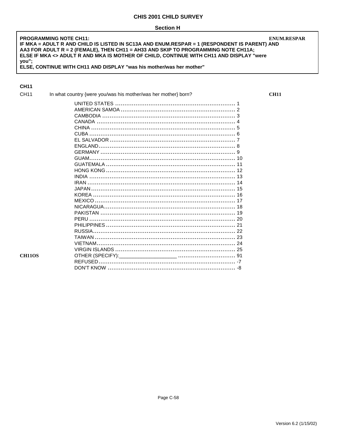**PROGRAMMING NOTE CH11: ENUM.RESPAR** IF MKA = ADULT R AND CHILD IS LISTED IN SC13A AND ENUM.RESPAR = 1 (RESPONDENT IS PARENT) AND AA3 FOR ADULT R = 2 (FEMALE), THEN CH11 = AH33 AND SKIP TO PROGRAMMING NOTE CH11A; ELSE IF MKA <> ADULT R AND MKA IS MOTHER OF CHILD, CONTINUE WITH CH11 AND DISPLAY "were you";<br>ELSE, CONTINUE WITH CH11 AND DISPLAY "was his mother/was her mother"

## **CH11**

| CH <sub>11</sub> | In what country {were you/was his mother/was her mother} born? |
|------------------|----------------------------------------------------------------|
|                  |                                                                |
|                  |                                                                |
|                  |                                                                |
|                  |                                                                |
|                  |                                                                |
|                  |                                                                |
|                  |                                                                |
|                  |                                                                |
|                  |                                                                |
|                  |                                                                |
|                  |                                                                |
|                  |                                                                |
|                  |                                                                |
|                  |                                                                |
|                  |                                                                |
|                  |                                                                |
|                  |                                                                |
|                  |                                                                |
|                  |                                                                |
|                  |                                                                |
|                  |                                                                |
|                  |                                                                |
|                  |                                                                |
|                  |                                                                |
|                  |                                                                |
| <b>CH110S</b>    |                                                                |
|                  |                                                                |
|                  |                                                                |

Page C-58

**CH11**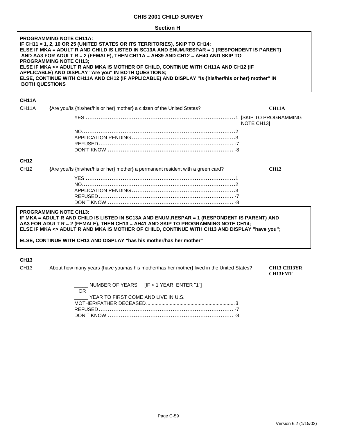| <b>PROGRAMMING NOTE CH11A:</b><br>IF CH11 = 1, 2, 10 OR 25 (UNITED STATES OR ITS TERRITORIES), SKIP TO CH14;<br>ELSE IF MKA = ADULT R AND CHILD IS LISTED IN SC13A AND ENUM.RESPAR = 1 (RESPONDENT IS PARENT)<br>AND AA3 FOR ADULT R = 2 (FEMALE), THEN CH11A = AH39 AND CH12 = AH40 AND SKIP TO<br><b>PROGRAMMING NOTE CH13:</b><br>ELSE IF MKA <> ADULT R AND MKA IS MOTHER OF CHILD, CONTINUE WITH CH11A AND CH12 (IF<br>APPLICABLE) AND DISPLAY "Are you" IN BOTH QUESTIONS:<br>ELSE, CONTINUE WITH CH11A AND CH12 (IF APPLICABLE) AND DISPLAY "Is {his/her/his or her} mother" IN<br><b>BOTH QUESTIONS</b> |
|-----------------------------------------------------------------------------------------------------------------------------------------------------------------------------------------------------------------------------------------------------------------------------------------------------------------------------------------------------------------------------------------------------------------------------------------------------------------------------------------------------------------------------------------------------------------------------------------------------------------|
| CH11A                                                                                                                                                                                                                                                                                                                                                                                                                                                                                                                                                                                                           |

#### **CH11A**

| CH <sub>11</sub> A | {Are you/ls {his/her/his or her} mother} a citizen of the United States?         | <b>CH11A</b>          |
|--------------------|----------------------------------------------------------------------------------|-----------------------|
|                    |                                                                                  | NOTE CH <sub>13</sub> |
|                    |                                                                                  |                       |
|                    |                                                                                  |                       |
|                    |                                                                                  |                       |
|                    |                                                                                  |                       |
| <b>CH12</b>        |                                                                                  |                       |
| CH <sub>12</sub>   | {Are you/ls {his/her/his or her} mother} a permanent resident with a green card? | <b>CH12</b>           |
|                    |                                                                                  |                       |
|                    |                                                                                  |                       |
|                    |                                                                                  |                       |
|                    |                                                                                  |                       |
|                    |                                                                                  |                       |
|                    |                                                                                  |                       |

## **PROGRAMMING NOTE CH13:**

**IF MKA = ADULT R AND CHILD IS LISTED IN SC13A AND ENUM.RESPAR = 1 (RESPONDENT IS PARENT) AND AA3 FOR ADULT R = 2 (FEMALE), THEN CH13 = AH41 AND SKIP TO PROGRAMMING NOTE CH14;**  ELSE IF MKA <> ADULT R AND MKA IS MOTHER OF CHILD, CONTINUE WITH CH13 AND DISPLAY "have you";

#### **ELSE, CONTINUE WITH CH13 AND DISPLAY "has his mother/has her mother"**

#### **CH13**

CH13 About how many years {have you/has his mother/has her mother} lived in the United States? **CH13 CH13YR** 

**CH13FMT** 

|     |                                     | NUMBER OF YEARS $[IF < 1$ YEAR, ENTER "1" |
|-----|-------------------------------------|-------------------------------------------|
| OR. |                                     |                                           |
|     | YEAR TO FIRST COME AND LIVE IN U.S. |                                           |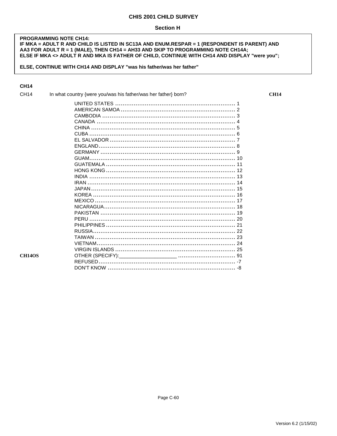**PROGRAMMING NOTE CH14:** IF MKA = ADULT R AND CHILD IS LISTED IN SC13A AND ENUM.RESPAR = 1 (RESPONDENT IS PARENT) AND AA3 FOR ADULT R = 1 (MALE), THEN CH14 = AH33 AND SKIP TO PROGRAMMING NOTE CH14A; ELSE IF MKA <> ADULT R AND MKA IS FATHER OF CHILD, CONTINUE WITH CH14 AND DISPLAY "were you";

ELSE, CONTINUE WITH CH14 AND DISPLAY "was his father/was her father"

## **CH14**

| CH14          | In what country {were you/was his father/was her father} born? |
|---------------|----------------------------------------------------------------|
|               |                                                                |
|               |                                                                |
|               |                                                                |
|               |                                                                |
|               |                                                                |
|               |                                                                |
|               |                                                                |
|               |                                                                |
|               |                                                                |
|               |                                                                |
|               |                                                                |
|               |                                                                |
|               |                                                                |
|               |                                                                |
|               |                                                                |
|               |                                                                |
|               |                                                                |
|               |                                                                |
|               |                                                                |
|               |                                                                |
|               |                                                                |
|               |                                                                |
|               |                                                                |
|               |                                                                |
|               |                                                                |
| <b>CH14OS</b> |                                                                |
|               |                                                                |
|               |                                                                |

 $CH14$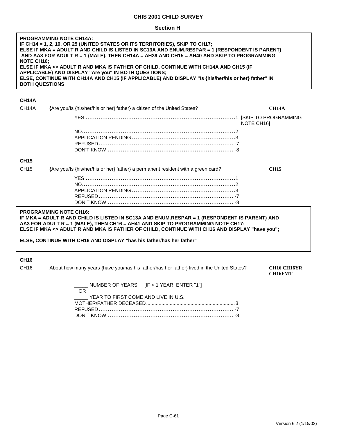#### **Section H**

| <b>PROGRAMMING NOTE CH14A:</b><br>IF CH14 = 1, 2, 10, OR 25 (UNITED STATES OR ITS TERRITORIES), SKIP TO CH17;<br>ELSE IF MKA = ADULT R AND CHILD IS LISTED IN SC13A AND ENUM.RESPAR = 1 (RESPONDENT IS PARENT)<br>AND AA3 FOR ADULT R = 1 (MALE), THEN CH14A = AH39 AND CH15 = AH40 AND SKIP TO PROGRAMMING<br><b>NOTE CH16:</b><br>ELSE IF MKA <> ADULT R AND MKA IS FATHER OF CHILD, CONTINUE WITH CH14A AND CH15 (IF<br>APPLICABLE) AND DISPLAY "Are you" IN BOTH QUESTIONS;<br>ELSE, CONTINUE WITH CH14A AND CH15 (IF APPLICABLE) AND DISPLAY "Is {his/her/his or her} father" IN<br><b>BOTH QUESTIONS</b> |                                                                                           |                                      |
|----------------------------------------------------------------------------------------------------------------------------------------------------------------------------------------------------------------------------------------------------------------------------------------------------------------------------------------------------------------------------------------------------------------------------------------------------------------------------------------------------------------------------------------------------------------------------------------------------------------|-------------------------------------------------------------------------------------------|--------------------------------------|
| <b>CH14A</b>                                                                                                                                                                                                                                                                                                                                                                                                                                                                                                                                                                                                   |                                                                                           |                                      |
| CH14A                                                                                                                                                                                                                                                                                                                                                                                                                                                                                                                                                                                                          | {Are you/Is {his/her/his or her} father} a citizen of the United States?                  | <b>CH14A</b>                         |
|                                                                                                                                                                                                                                                                                                                                                                                                                                                                                                                                                                                                                |                                                                                           | NOTE CH16]                           |
|                                                                                                                                                                                                                                                                                                                                                                                                                                                                                                                                                                                                                |                                                                                           |                                      |
| <b>CH15</b>                                                                                                                                                                                                                                                                                                                                                                                                                                                                                                                                                                                                    |                                                                                           |                                      |
| <b>CH15</b>                                                                                                                                                                                                                                                                                                                                                                                                                                                                                                                                                                                                    | {Are you/Is {his/her/his or her} father} a permanent resident with a green card?          | <b>CH15</b>                          |
|                                                                                                                                                                                                                                                                                                                                                                                                                                                                                                                                                                                                                |                                                                                           |                                      |
| <b>PROGRAMMING NOTE CH16:</b><br>IF MKA = ADULT R AND CHILD IS LISTED IN SC13A AND ENUM.RESPAR = 1 (RESPONDENT IS PARENT) AND<br>AA3 FOR ADULT R = 1 (MALE), THEN CH16 = AH41 AND SKIP TO PROGRAMMING NOTE CH17;<br>ELSE IF MKA <> ADULT R AND MKA IS FATHER OF CHILD, CONTINUE WITH CH16 AND DISPLAY "have you";                                                                                                                                                                                                                                                                                              |                                                                                           |                                      |
| ELSE, CONTINUE WITH CH16 AND DISPLAY "has his father/has her father"                                                                                                                                                                                                                                                                                                                                                                                                                                                                                                                                           |                                                                                           |                                      |
| <b>CH16</b><br>CH <sub>16</sub>                                                                                                                                                                                                                                                                                                                                                                                                                                                                                                                                                                                | About how many years {have you/has his father/has her father} lived in the United States? | <b>CH16 CH16YR</b><br><b>CH16FMT</b> |
|                                                                                                                                                                                                                                                                                                                                                                                                                                                                                                                                                                                                                | NUMBER OF YEARS [IF < 1 YEAR, ENTER "1"]                                                  |                                      |

| NUMBER OF YEARS IIF < 1 YEAR, ENTER "1"   |  |
|-------------------------------------------|--|
| <b>OR</b>                                 |  |
| _____ YEAR TO FIRST COME AND LIVE IN U.S. |  |
|                                           |  |
|                                           |  |
|                                           |  |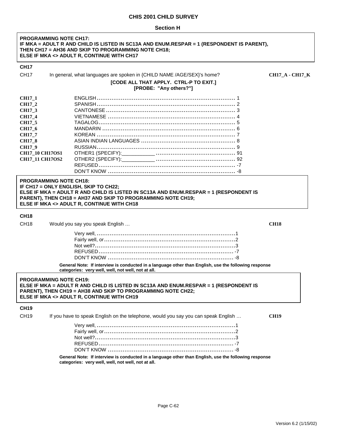#### **PROGRAMMING NOTE CH17: IF MKA = ADULT R AND CHILD IS LISTED IN SC13A AND ENUM.RESPAR = 1 (RESPONDENT IS PARENT), THEN CH17 = AH36 AND SKIP TO PROGRAMMING NOTE CH18; ELSE IF MKA <> ADULT R, CONTINUE WITH CH17**

### **CH17**

| <b>CH17</b> | In general, what languages are spoken in {CHILD NAME /AGE/SEX}'s home? | <b>CH17 A - CH17 K</b> |
|-------------|------------------------------------------------------------------------|------------------------|
|             | <b>[CODE ALL THAT APPLY. CTRL-P TO EXIT.]</b>                          |                        |
|             | [PROBE: "Any others?"]                                                 |                        |
|             |                                                                        |                        |

| <b>CH17 1</b>          |  |
|------------------------|--|
| CH17 2                 |  |
| CH17 3                 |  |
| CH17 4                 |  |
| CH17 5                 |  |
| CH17 6                 |  |
| CH17 7                 |  |
| <b>CH17 8</b>          |  |
| CH17 9                 |  |
| <b>CH17 10 CH17OS1</b> |  |
| <b>CH17 11 CH17OS2</b> |  |
|                        |  |
|                        |  |

#### **PROGRAMMING NOTE CH18: IF CH17 = ONLY ENGLISH, SKIP TO CH22; ELSE IF MKA = ADULT R AND CHILD IS LISTED IN SC13A AND ENUM.RESPAR = 1 (RESPONDENT IS PARENT), THEN CH18 = AH37 AND SKIP TO PROGRAMMING NOTE CH19; ELSE IF MKA <> ADULT R, CONTINUE WITH CH18**

#### **CH18**

CH18 Would you say you speak English … **CH18**

**General Note: If interview is conducted in a language other than English, use the following response categories: very well, well, not well, not at all.** 

#### **PROGRAMMING NOTE CH19:**

**ELSE IF MKA = ADULT R AND CHILD IS LISTED IN SC13A AND ENUM.RESPAR = 1 (RESPONDENT IS PARENT), THEN CH19 = AH38 AND SKIP TO PROGRAMMING NOTE CH22; ELSE IF MKA <> ADULT R, CONTINUE WITH CH19** 

## **CH19**

| CH19. | If you have to speak English on the telephone, would you say you can speak English |  |
|-------|------------------------------------------------------------------------------------|--|
|       |                                                                                    |  |
|       |                                                                                    |  |
|       |                                                                                    |  |
|       |                                                                                    |  |
|       |                                                                                    |  |
|       |                                                                                    |  |

**General Note: If interview is conducted in a language other than English, use the following response categories: very well, well, not well, not at all.**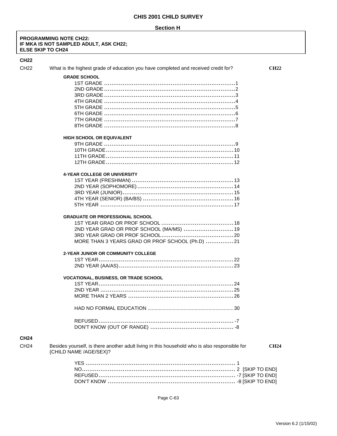#### **PROGRAMMING NOTE CH22:** IF MKA IS NOT SAMPLED ADULT, ASK CH22; **ELSE SKIP TO CH24**

#### $\mathbf C$

| <b>CH22</b>      |                                                                                                                                       |             |
|------------------|---------------------------------------------------------------------------------------------------------------------------------------|-------------|
| CH <sub>22</sub> | What is the highest grade of education you have completed and received credit for?                                                    | <b>CH22</b> |
|                  | <b>GRADE SCHOOL</b>                                                                                                                   |             |
|                  | <b>HIGH SCHOOL OR EQUIVALENT</b>                                                                                                      |             |
|                  | <b>4-YEAR COLLEGE OR UNIVERSITY</b>                                                                                                   |             |
|                  | <b>GRADUATE OR PROFESSIONAL SCHOOL</b><br>2ND YEAR GRAD OR PROF SCHOOL (MA/MS)  19<br>MORE THAN 3 YEARS GRAD OR PROF SCHOOL (Ph.D) 21 |             |
|                  | <b>2-YEAR JUNIOR OR COMMUNITY COLLEGE</b>                                                                                             |             |
|                  | <b>VOCATIONAL, BUSINESS, OR TRADE SCHOOL</b>                                                                                          |             |
| <b>CH24</b>      |                                                                                                                                       |             |
| CH <sub>24</sub> | Besides yourself, is there another adult living in this household who is also responsible for<br>{CHILD NAME /AGE/SEX}?               | <b>CH24</b> |
|                  |                                                                                                                                       |             |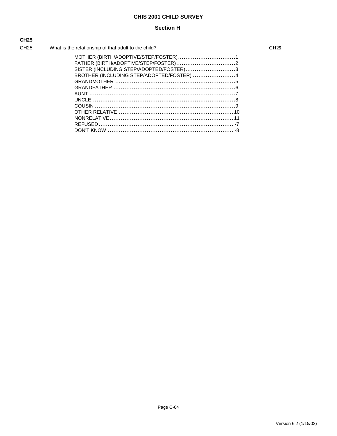## **Section H**

| <b>CH25</b> |                                                      |
|-------------|------------------------------------------------------|
| CH25        | What is the relationship of that adult to the child? |
|             | MOTHER (BIRTH/ADOPTIVE/STEP/FO                       |
|             | EATUED (DIDTU/ADODTIVE/CTED/EOS                      |

| SISTER (INCLUDING STEP/ADOPTED/FOSTER)3   |  |
|-------------------------------------------|--|
| BROTHER (INCLUDING STEP/ADOPTED/FOSTER) 4 |  |
|                                           |  |
|                                           |  |
|                                           |  |
|                                           |  |
|                                           |  |
|                                           |  |
|                                           |  |
|                                           |  |
|                                           |  |
|                                           |  |

 $CH25$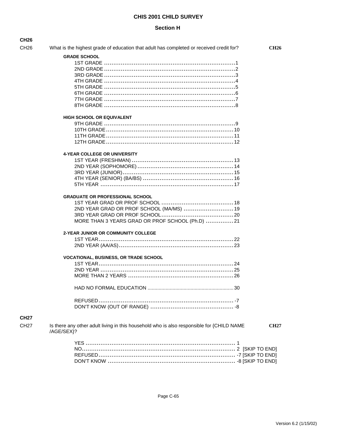## **Section H**

**CH26** 

| CH <sub>26</sub> | What is the highest grade of education that adult has completed or received credit for?                 | <b>CH26</b> |
|------------------|---------------------------------------------------------------------------------------------------------|-------------|
|                  | <b>GRADE SCHOOL</b>                                                                                     |             |
|                  |                                                                                                         |             |
|                  |                                                                                                         |             |
|                  |                                                                                                         |             |
|                  |                                                                                                         |             |
|                  |                                                                                                         |             |
|                  |                                                                                                         |             |
|                  |                                                                                                         |             |
|                  |                                                                                                         |             |
|                  |                                                                                                         |             |
|                  | <b>HIGH SCHOOL OR EQUIVALENT</b>                                                                        |             |
|                  |                                                                                                         |             |
|                  |                                                                                                         |             |
|                  |                                                                                                         |             |
|                  |                                                                                                         |             |
|                  |                                                                                                         |             |
|                  | <b>4-YEAR COLLEGE OR UNIVERSITY</b>                                                                     |             |
|                  |                                                                                                         |             |
|                  |                                                                                                         |             |
|                  |                                                                                                         |             |
|                  |                                                                                                         |             |
|                  |                                                                                                         |             |
|                  | <b>GRADUATE OR PROFESSIONAL SCHOOL</b>                                                                  |             |
|                  |                                                                                                         |             |
|                  |                                                                                                         |             |
|                  | 2ND YEAR GRAD OR PROF SCHOOL (MA/MS)  19                                                                |             |
|                  |                                                                                                         |             |
|                  | MORE THAN 3 YEARS GRAD OR PROF SCHOOL (Ph.D) 21                                                         |             |
|                  | 2-YEAR JUNIOR OR COMMUNITY COLLEGE                                                                      |             |
|                  |                                                                                                         |             |
|                  |                                                                                                         |             |
|                  |                                                                                                         |             |
|                  | <b>VOCATIONAL, BUSINESS, OR TRADE SCHOOL</b>                                                            |             |
|                  |                                                                                                         |             |
|                  |                                                                                                         |             |
|                  |                                                                                                         |             |
|                  |                                                                                                         |             |
|                  |                                                                                                         |             |
|                  |                                                                                                         |             |
| <b>CH27</b>      |                                                                                                         |             |
|                  |                                                                                                         |             |
| <b>CH27</b>      | Is there any other adult living in this household who is also responsible for {CHILD NAME<br>/AGE/SEX}? | <b>CH27</b> |
|                  |                                                                                                         |             |
|                  |                                                                                                         |             |
|                  |                                                                                                         |             |
|                  |                                                                                                         |             |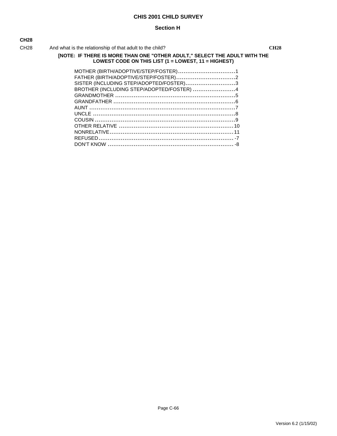#### **Section H**

| ×<br>۰, | ۰.<br>× |
|---------|---------|

CH28 And what is the relationship of that adult to the child? **CH28**

### **[NOTE: IF THERE IS MORE THAN ONE "OTHER ADULT," SELECT THE ADULT WITH THE LOWEST CODE ON THIS LIST (1 = LOWEST, 11 = HIGHEST)**

| MOTHER (BIRTH/ADOPTIVE/STEP/FOSTER)1      |  |
|-------------------------------------------|--|
| FATHER (BIRTH/ADOPTIVE/STEP/FOSTER)2      |  |
| SISTER (INCLUDING STEP/ADOPTED/FOSTER)3   |  |
| BROTHER (INCLUDING STEP/ADOPTED/FOSTER) 4 |  |
|                                           |  |
|                                           |  |
|                                           |  |
|                                           |  |
|                                           |  |
|                                           |  |
|                                           |  |
|                                           |  |
|                                           |  |